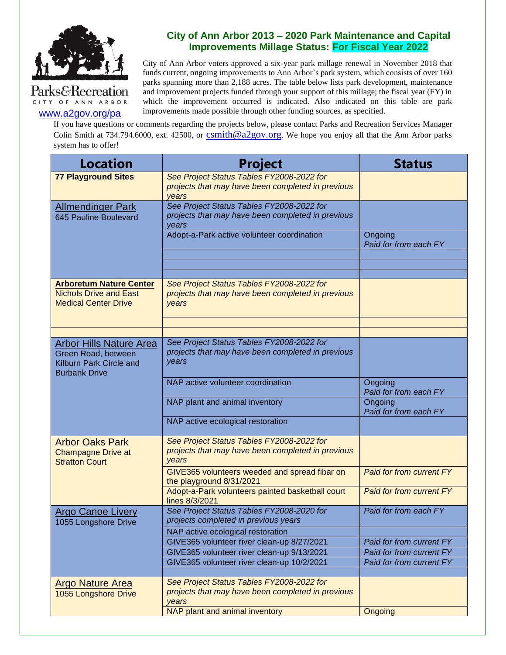

[www.a2gov.org/pa](http://www.a2gov.org/parks)

CITY OF ANN ARBOR

## **City of Ann Arbor 2013 – 2020 Park Maintenance and Capital Improvements Millage Status: For Fiscal Year 2022**

City of Ann Arbor voters approved a six-year park millage renewal in November 2018 that funds current, ongoing improvements to Ann Arbor's park system, which consists of over 160 parks spanning more than 2,188 acres. The table below lists park development, maintenance and improvement projects funded through your support of this millage; the fiscal year (FY) in which the improvement occurred is indicated. Also indicated on this table are park improvements made possible through other funding sources, as specified.

If you have questions or comments regarding the projects below, please contact Parks and Recreation Services Manager Colin Smith at 734.794.6000, ext. 42500, or [csmith@a2gov.org](mailto:csmith@a2gov.org). We hope you enjoy all that the Ann Arbor parks system has to offer!

| <b>Location</b>                                                                                          | <b>Project</b>                                                                                          | <b>Status</b>                    |
|----------------------------------------------------------------------------------------------------------|---------------------------------------------------------------------------------------------------------|----------------------------------|
| <b>77 Playground Sites</b>                                                                               | See Project Status Tables FY2008-2022 for<br>projects that may have been completed in previous<br>vears |                                  |
| <b>Allmendinger Park</b><br>645 Pauline Boulevard                                                        | See Project Status Tables FY2008-2022 for<br>projects that may have been completed in previous<br>years |                                  |
|                                                                                                          | Adopt-a-Park active volunteer coordination                                                              | Ongoing<br>Paid for from each FY |
|                                                                                                          |                                                                                                         |                                  |
| <b>Arboretum Nature Center</b><br><b>Nichols Drive and East</b><br><b>Medical Center Drive</b>           | See Project Status Tables FY2008-2022 for<br>projects that may have been completed in previous<br>years |                                  |
|                                                                                                          |                                                                                                         |                                  |
| <b>Arbor Hills Nature Area</b><br>Green Road, between<br>Kilburn Park Circle and<br><b>Burbank Drive</b> | See Project Status Tables FY2008-2022 for<br>projects that may have been completed in previous<br>years |                                  |
|                                                                                                          | NAP active volunteer coordination                                                                       | Ongoing<br>Paid for from each FY |
|                                                                                                          | NAP plant and animal inventory                                                                          | Ongoing<br>Paid for from each FY |
|                                                                                                          | NAP active ecological restoration                                                                       |                                  |
| <b>Arbor Oaks Park</b><br><b>Champagne Drive at</b><br><b>Stratton Court</b>                             | See Project Status Tables FY2008-2022 for<br>projects that may have been completed in previous<br>years |                                  |
|                                                                                                          | GIVE365 volunteers weeded and spread fibar on<br>the playground 8/31/2021                               | <b>Paid for from current FY</b>  |
|                                                                                                          | Adopt-a-Park volunteers painted basketball court<br>lines 8/3/2021                                      | <b>Paid for from current FY</b>  |
| <b>Argo Canoe Livery</b><br>1055 Longshore Drive                                                         | See Project Status Tables FY2008-2020 for<br>projects completed in previous years                       | Paid for from each FY            |
|                                                                                                          | NAP active ecological restoration<br>GIVE365 volunteer river clean-up 8/27/2021                         | Paid for from current FY         |
|                                                                                                          | GIVE365 volunteer river clean-up 9/13/2021                                                              | Paid for from current FY         |
|                                                                                                          | GIVE365 volunteer river clean-up 10/2/2021                                                              | Paid for from current FY         |
| <b>Argo Nature Area</b>                                                                                  | See Project Status Tables FY2008-2022 for                                                               |                                  |
| 1055 Longshore Drive                                                                                     | projects that may have been completed in previous<br>years                                              |                                  |
|                                                                                                          | NAP plant and animal inventory                                                                          | Ongoing                          |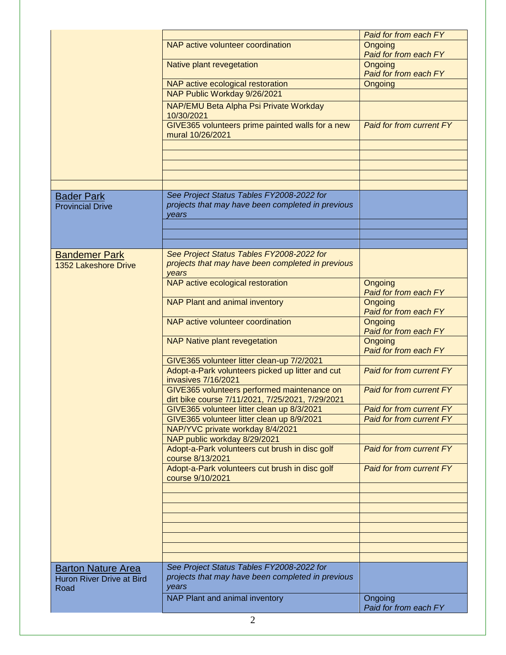|                                                                       |                                                                                                         | <b>Paid for from each FY</b>     |
|-----------------------------------------------------------------------|---------------------------------------------------------------------------------------------------------|----------------------------------|
|                                                                       | NAP active volunteer coordination                                                                       | Ongoing                          |
|                                                                       |                                                                                                         | Paid for from each FY            |
|                                                                       | Native plant revegetation                                                                               | Ongoing                          |
|                                                                       |                                                                                                         | Paid for from each FY            |
|                                                                       | NAP active ecological restoration                                                                       | Ongoing                          |
|                                                                       | NAP Public Workday 9/26/2021                                                                            |                                  |
|                                                                       | NAP/EMU Beta Alpha Psi Private Workday<br>10/30/2021                                                    |                                  |
|                                                                       |                                                                                                         | Paid for from current FY         |
|                                                                       | GIVE365 volunteers prime painted walls for a new<br>mural 10/26/2021                                    |                                  |
|                                                                       |                                                                                                         |                                  |
|                                                                       |                                                                                                         |                                  |
|                                                                       |                                                                                                         |                                  |
|                                                                       |                                                                                                         |                                  |
|                                                                       |                                                                                                         |                                  |
| <b>Bader Park</b><br><b>Provincial Drive</b>                          | See Project Status Tables FY2008-2022 for<br>projects that may have been completed in previous<br>vears |                                  |
|                                                                       |                                                                                                         |                                  |
|                                                                       |                                                                                                         |                                  |
|                                                                       |                                                                                                         |                                  |
| <b>Bandemer Park</b><br>1352 Lakeshore Drive                          | See Project Status Tables FY2008-2022 for<br>projects that may have been completed in previous<br>years |                                  |
|                                                                       | NAP active ecological restoration                                                                       | Ongoing<br>Paid for from each FY |
|                                                                       | NAP Plant and animal inventory                                                                          | Ongoing<br>Paid for from each FY |
|                                                                       | NAP active volunteer coordination                                                                       | Ongoing<br>Paid for from each FY |
|                                                                       | <b>NAP Native plant revegetation</b>                                                                    | Ongoing                          |
|                                                                       |                                                                                                         | Paid for from each FY            |
|                                                                       | GIVE365 volunteer litter clean-up 7/2/2021                                                              |                                  |
|                                                                       | Adopt-a-Park volunteers picked up litter and cut<br>invasives 7/16/2021                                 | <b>Paid for from current FY</b>  |
|                                                                       | GIVE365 volunteers performed maintenance on<br>dirt bike course 7/11/2021, 7/25/2021, 7/29/2021         | <b>Paid for from current FY</b>  |
|                                                                       | GIVE365 volunteer litter clean up 8/3/2021                                                              | <b>Paid for from current FY</b>  |
|                                                                       | GIVE365 volunteer litter clean up 8/9/2021                                                              | <b>Paid for from current FY</b>  |
|                                                                       | NAP/YVC private workday 8/4/2021                                                                        |                                  |
|                                                                       | NAP public workday 8/29/2021                                                                            |                                  |
|                                                                       | Adopt-a-Park volunteers cut brush in disc golf                                                          | <b>Paid for from current FY</b>  |
|                                                                       | course 8/13/2021                                                                                        |                                  |
|                                                                       | Adopt-a-Park volunteers cut brush in disc golf<br>course 9/10/2021                                      | Paid for from current FY         |
|                                                                       |                                                                                                         |                                  |
|                                                                       |                                                                                                         |                                  |
|                                                                       |                                                                                                         |                                  |
|                                                                       |                                                                                                         |                                  |
|                                                                       |                                                                                                         |                                  |
|                                                                       |                                                                                                         |                                  |
|                                                                       |                                                                                                         |                                  |
|                                                                       |                                                                                                         |                                  |
| <b>Barton Nature Area</b><br><b>Huron River Drive at Bird</b><br>Road | See Project Status Tables FY2008-2022 for<br>projects that may have been completed in previous<br>years |                                  |
|                                                                       | NAP Plant and animal inventory                                                                          | Ongoing                          |
|                                                                       |                                                                                                         | Paid for from each FY            |
|                                                                       |                                                                                                         |                                  |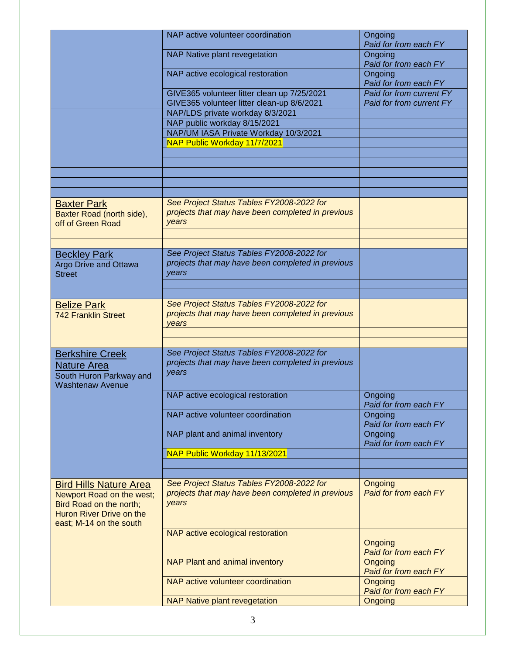|                                                                                                                                              | NAP active volunteer coordination                                                                       | Ongoing<br>Paid for from each FY |
|----------------------------------------------------------------------------------------------------------------------------------------------|---------------------------------------------------------------------------------------------------------|----------------------------------|
|                                                                                                                                              | NAP Native plant revegetation                                                                           | Ongoing<br>Paid for from each FY |
|                                                                                                                                              | NAP active ecological restoration                                                                       | Ongoing<br>Paid for from each FY |
|                                                                                                                                              | GIVE365 volunteer litter clean up 7/25/2021                                                             | Paid for from current FY         |
|                                                                                                                                              | GIVE365 volunteer litter clean-up 8/6/2021                                                              | Paid for from current FY         |
|                                                                                                                                              | NAP/LDS private workday 8/3/2021                                                                        |                                  |
|                                                                                                                                              | NAP public workday 8/15/2021                                                                            |                                  |
|                                                                                                                                              | NAP/UM IASA Private Workday 10/3/2021                                                                   |                                  |
|                                                                                                                                              | NAP Public Workday 11/7/2021                                                                            |                                  |
|                                                                                                                                              |                                                                                                         |                                  |
|                                                                                                                                              |                                                                                                         |                                  |
|                                                                                                                                              |                                                                                                         |                                  |
|                                                                                                                                              |                                                                                                         |                                  |
|                                                                                                                                              |                                                                                                         |                                  |
| <b>Baxter Park</b><br>Baxter Road (north side),<br>off of Green Road                                                                         | See Project Status Tables FY2008-2022 for<br>projects that may have been completed in previous<br>years |                                  |
|                                                                                                                                              |                                                                                                         |                                  |
|                                                                                                                                              |                                                                                                         |                                  |
| <b>Beckley Park</b><br><b>Argo Drive and Ottawa</b><br><b>Street</b>                                                                         | See Project Status Tables FY2008-2022 for<br>projects that may have been completed in previous<br>years |                                  |
|                                                                                                                                              |                                                                                                         |                                  |
|                                                                                                                                              |                                                                                                         |                                  |
| <b>Belize Park</b><br><b>742 Franklin Street</b>                                                                                             | See Project Status Tables FY2008-2022 for<br>projects that may have been completed in previous<br>years |                                  |
|                                                                                                                                              |                                                                                                         |                                  |
|                                                                                                                                              |                                                                                                         |                                  |
| <b>Berkshire Creek</b><br><b>Nature Area</b><br>South Huron Parkway and<br><b>Washtenaw Avenue</b>                                           | See Project Status Tables FY2008-2022 for<br>projects that may have been completed in previous<br>years |                                  |
|                                                                                                                                              | NAP active ecological restoration                                                                       | Ongoing<br>Paid for from each FY |
|                                                                                                                                              | NAP active volunteer coordination                                                                       | Ongoing<br>Paid for from each FY |
|                                                                                                                                              | NAP plant and animal inventory                                                                          | Ongoing<br>Paid for from each FY |
|                                                                                                                                              | NAP Public Workday 11/13/2021                                                                           |                                  |
|                                                                                                                                              |                                                                                                         |                                  |
|                                                                                                                                              |                                                                                                         |                                  |
| <b>Bird Hills Nature Area</b><br>Newport Road on the west;<br>Bird Road on the north;<br>Huron River Drive on the<br>east; M-14 on the south | See Project Status Tables FY2008-2022 for<br>projects that may have been completed in previous<br>years | Ongoing<br>Paid for from each FY |
|                                                                                                                                              | NAP active ecological restoration                                                                       | Ongoing<br>Paid for from each FY |
|                                                                                                                                              | NAP Plant and animal inventory                                                                          | Ongoing<br>Paid for from each FY |
|                                                                                                                                              | NAP active volunteer coordination                                                                       | Ongoing<br>Paid for from each FY |
|                                                                                                                                              | <b>NAP Native plant revegetation</b>                                                                    | Ongoing                          |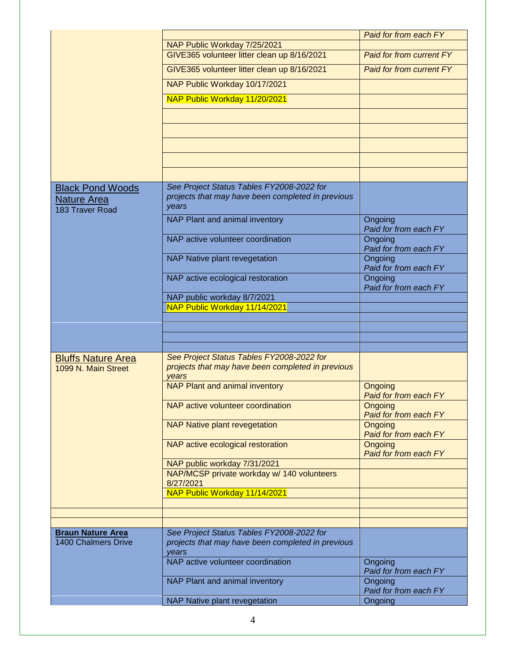|                                                        |                                                                                                         | Paid for from each FY            |
|--------------------------------------------------------|---------------------------------------------------------------------------------------------------------|----------------------------------|
|                                                        | NAP Public Workday 7/25/2021                                                                            |                                  |
|                                                        | GIVE365 volunteer litter clean up 8/16/2021                                                             | <b>Paid for from current FY</b>  |
|                                                        | GIVE365 volunteer litter clean up 8/16/2021                                                             | Paid for from current FY         |
|                                                        | NAP Public Workday 10/17/2021                                                                           |                                  |
|                                                        | NAP Public Workday 11/20/2021                                                                           |                                  |
|                                                        |                                                                                                         |                                  |
|                                                        |                                                                                                         |                                  |
|                                                        |                                                                                                         |                                  |
|                                                        |                                                                                                         |                                  |
| <b>Black Pond Woods</b>                                | See Project Status Tables FY2008-2022 for                                                               |                                  |
| <b>Nature Area</b><br>183 Traver Road                  | projects that may have been completed in previous<br>years                                              |                                  |
|                                                        | NAP Plant and animal inventory                                                                          | Ongoing<br>Paid for from each FY |
|                                                        | NAP active volunteer coordination                                                                       | Ongoing<br>Paid for from each FY |
|                                                        | NAP Native plant revegetation                                                                           | Ongoing<br>Paid for from each FY |
|                                                        | NAP active ecological restoration                                                                       | Ongoing<br>Paid for from each FY |
|                                                        | NAP public workday 8/7/2021                                                                             |                                  |
|                                                        | NAP Public Workday 11/14/2021                                                                           |                                  |
|                                                        |                                                                                                         |                                  |
|                                                        |                                                                                                         |                                  |
|                                                        |                                                                                                         |                                  |
|                                                        |                                                                                                         |                                  |
| <b>Bluffs Nature Area</b><br>1099 N. Main Street       | See Project Status Tables FY2008-2022 for<br>projects that may have been completed in previous<br>years |                                  |
|                                                        | NAP Plant and animal inventory                                                                          | Ongoing<br>Paid for from each FY |
|                                                        | NAP active volunteer coordination                                                                       | Ongoing<br>Paid for from each FY |
|                                                        | <b>NAP Native plant revegetation</b>                                                                    | Ongoing<br>Paid for from each FY |
|                                                        | NAP active ecological restoration                                                                       | Ongoing<br>Paid for from each FY |
|                                                        | NAP public workday 7/31/2021                                                                            |                                  |
|                                                        | NAP/MCSP private workday w/ 140 volunteers<br>8/27/2021                                                 |                                  |
|                                                        | NAP Public Workday 11/14/2021                                                                           |                                  |
|                                                        |                                                                                                         |                                  |
|                                                        |                                                                                                         |                                  |
| <b>Braun Nature Area</b><br><b>1400 Chalmers Drive</b> | See Project Status Tables FY2008-2022 for<br>projects that may have been completed in previous<br>years |                                  |
|                                                        | NAP active volunteer coordination                                                                       | Ongoing<br>Paid for from each FY |
|                                                        | NAP Plant and animal inventory                                                                          | Ongoing<br>Paid for from each FY |
|                                                        | NAP Native plant revegetation                                                                           | Ongoing                          |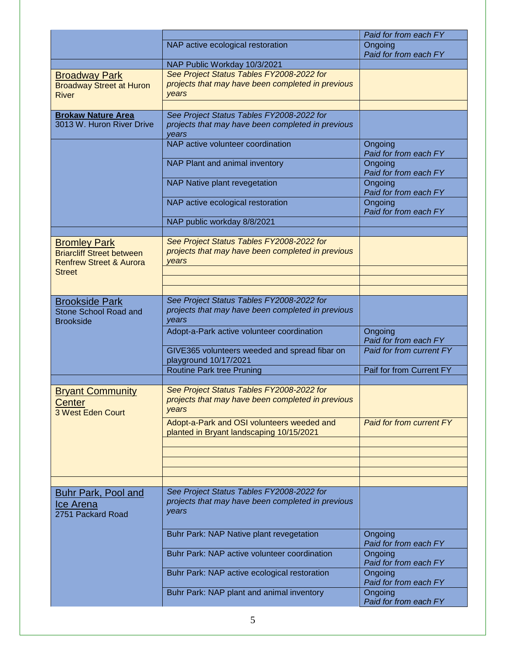|                                                                                                                |                                                                                                         | Paid for from each FY            |
|----------------------------------------------------------------------------------------------------------------|---------------------------------------------------------------------------------------------------------|----------------------------------|
|                                                                                                                | NAP active ecological restoration                                                                       | Ongoing<br>Paid for from each FY |
|                                                                                                                | NAP Public Workday 10/3/2021                                                                            |                                  |
| <b>Broadway Park</b><br><b>Broadway Street at Huron</b><br><b>River</b>                                        | See Project Status Tables FY2008-2022 for<br>projects that may have been completed in previous<br>years |                                  |
| <b>Brokaw Nature Area</b><br>3013 W. Huron River Drive                                                         | See Project Status Tables FY2008-2022 for<br>projects that may have been completed in previous<br>years |                                  |
|                                                                                                                | NAP active volunteer coordination                                                                       | Ongoing<br>Paid for from each FY |
|                                                                                                                | NAP Plant and animal inventory                                                                          | Ongoing<br>Paid for from each FY |
|                                                                                                                | NAP Native plant revegetation                                                                           | Ongoing<br>Paid for from each FY |
|                                                                                                                | NAP active ecological restoration                                                                       | Ongoing<br>Paid for from each FY |
|                                                                                                                | NAP public workday 8/8/2021                                                                             |                                  |
| <b>Bromley Park</b><br><b>Briarcliff Street between</b><br><b>Renfrew Street &amp; Aurora</b><br><b>Street</b> | See Project Status Tables FY2008-2022 for<br>projects that may have been completed in previous<br>vears |                                  |
|                                                                                                                |                                                                                                         |                                  |
| <b>Brookside Park</b><br>Stone School Road and<br><b>Brookside</b>                                             | See Project Status Tables FY2008-2022 for<br>projects that may have been completed in previous<br>years |                                  |
|                                                                                                                | Adopt-a-Park active volunteer coordination                                                              | Ongoing<br>Paid for from each FY |
|                                                                                                                | GIVE365 volunteers weeded and spread fibar on<br>playground 10/17/2021                                  | Paid for from current FY         |
|                                                                                                                | Routine Park tree Pruning                                                                               | Paif for from Current FY         |
| <b>Bryant Community</b><br>Center<br>3 West Eden Court                                                         | See Project Status Tables FY2008-2022 for<br>projects that may have been completed in previous<br>years |                                  |
|                                                                                                                | Adopt-a-Park and OSI volunteers weeded and<br>planted in Bryant landscaping 10/15/2021                  | <b>Paid for from current FY</b>  |
|                                                                                                                |                                                                                                         |                                  |
|                                                                                                                |                                                                                                         |                                  |
|                                                                                                                |                                                                                                         |                                  |
| <b>Buhr Park, Pool and</b><br><u>Ice Arena</u><br>2751 Packard Road                                            | See Project Status Tables FY2008-2022 for<br>projects that may have been completed in previous<br>years |                                  |
|                                                                                                                | Buhr Park: NAP Native plant revegetation                                                                | Ongoing<br>Paid for from each FY |
|                                                                                                                | Buhr Park: NAP active volunteer coordination                                                            | Ongoing<br>Paid for from each FY |
|                                                                                                                | Buhr Park: NAP active ecological restoration                                                            | Ongoing<br>Paid for from each FY |
|                                                                                                                | Buhr Park: NAP plant and animal inventory                                                               | Ongoing<br>Paid for from each FY |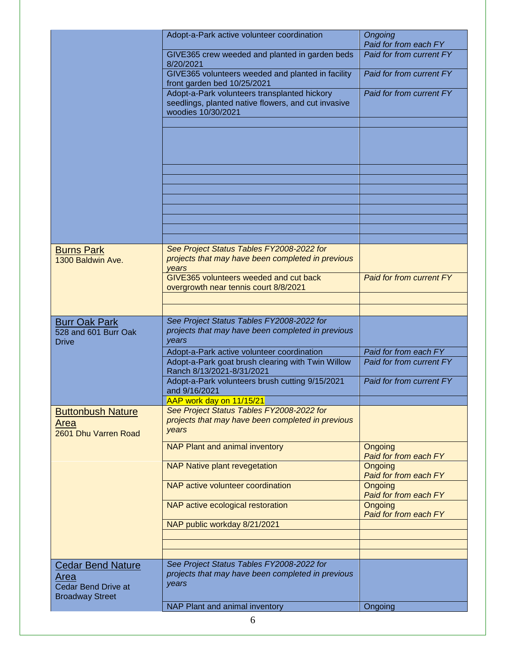|                                                              | Adopt-a-Park active volunteer coordination                                                                                | Ongoing<br>Paid for from each FY |
|--------------------------------------------------------------|---------------------------------------------------------------------------------------------------------------------------|----------------------------------|
|                                                              | GIVE365 crew weeded and planted in garden beds<br>8/20/2021                                                               | Paid for from current FY         |
|                                                              | GIVE365 volunteers weeded and planted in facility<br>front garden bed 10/25/2021                                          | Paid for from current FY         |
|                                                              | Adopt-a-Park volunteers transplanted hickory<br>seedlings, planted native flowers, and cut invasive<br>woodies 10/30/2021 | Paid for from current FY         |
|                                                              |                                                                                                                           |                                  |
|                                                              |                                                                                                                           |                                  |
|                                                              |                                                                                                                           |                                  |
|                                                              |                                                                                                                           |                                  |
|                                                              |                                                                                                                           |                                  |
| <b>Burns Park</b>                                            | See Project Status Tables FY2008-2022 for                                                                                 |                                  |
| 1300 Baldwin Ave.                                            | projects that may have been completed in previous<br>vears                                                                |                                  |
|                                                              | GIVE365 volunteers weeded and cut back<br>overgrowth near tennis court 8/8/2021                                           | Paid for from current FY         |
|                                                              |                                                                                                                           |                                  |
| <b>Burr Oak Park</b>                                         | See Project Status Tables FY2008-2022 for                                                                                 |                                  |
| 528 and 601 Burr Oak<br><b>Drive</b>                         | projects that may have been completed in previous<br>years                                                                |                                  |
|                                                              | Adopt-a-Park active volunteer coordination                                                                                | Paid for from each FY            |
|                                                              | Adopt-a-Park goat brush clearing with Twin Willow<br>Ranch 8/13/2021-8/31/2021                                            | Paid for from current FY         |
|                                                              | Adopt-a-Park volunteers brush cutting 9/15/2021<br>and 9/16/2021                                                          | Paid for from current FY         |
|                                                              | AAP work day on 11/15/21                                                                                                  |                                  |
| <b>Buttonbush Nature</b><br>Area<br>2601 Dhu Varren Road     | See Project Status Tables FY2008-2022 for<br>projects that may have been completed in previous<br>years                   |                                  |
|                                                              | NAP Plant and animal inventory                                                                                            | Ongoing<br>Paid for from each FY |
|                                                              | <b>NAP Native plant revegetation</b>                                                                                      | Ongoing<br>Paid for from each FY |
|                                                              | NAP active volunteer coordination                                                                                         | Ongoing<br>Paid for from each FY |
|                                                              | NAP active ecological restoration                                                                                         | Ongoing<br>Paid for from each FY |
|                                                              | NAP public workday 8/21/2021                                                                                              |                                  |
|                                                              |                                                                                                                           |                                  |
| <b>Cedar Bend Nature</b>                                     | See Project Status Tables FY2008-2022 for                                                                                 |                                  |
| Area<br><b>Cedar Bend Drive at</b><br><b>Broadway Street</b> | projects that may have been completed in previous<br>years                                                                |                                  |
|                                                              | NAP Plant and animal inventory                                                                                            | Ongoing                          |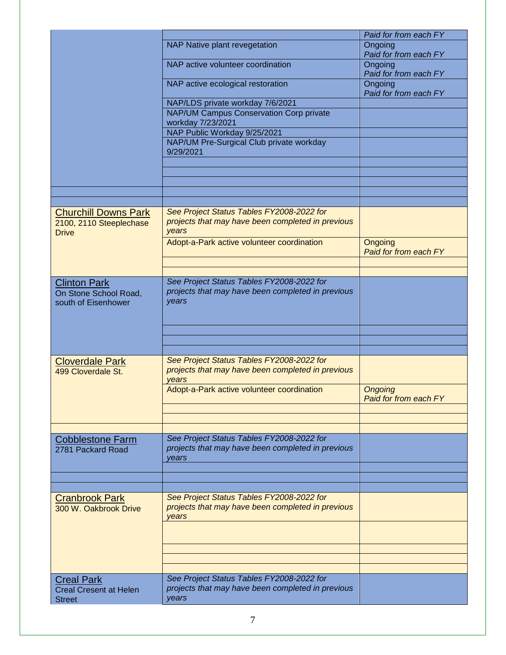|                                                                        |                                                                                                         | Paid for from each FY            |
|------------------------------------------------------------------------|---------------------------------------------------------------------------------------------------------|----------------------------------|
|                                                                        | NAP Native plant revegetation                                                                           | Ongoing<br>Paid for from each FY |
|                                                                        | NAP active volunteer coordination                                                                       | Ongoing<br>Paid for from each FY |
|                                                                        | NAP active ecological restoration                                                                       | Ongoing<br>Paid for from each FY |
|                                                                        | NAP/LDS private workday 7/6/2021                                                                        |                                  |
|                                                                        | NAP/UM Campus Conservation Corp private<br>workday 7/23/2021                                            |                                  |
|                                                                        | NAP Public Workday 9/25/2021                                                                            |                                  |
|                                                                        | NAP/UM Pre-Surgical Club private workday<br>9/29/2021                                                   |                                  |
|                                                                        |                                                                                                         |                                  |
|                                                                        |                                                                                                         |                                  |
|                                                                        |                                                                                                         |                                  |
|                                                                        |                                                                                                         |                                  |
| <b>Churchill Downs Park</b><br>2100, 2110 Steeplechase<br><b>Drive</b> | See Project Status Tables FY2008-2022 for<br>projects that may have been completed in previous<br>years |                                  |
|                                                                        | Adopt-a-Park active volunteer coordination                                                              | Ongoing<br>Paid for from each FY |
|                                                                        |                                                                                                         |                                  |
|                                                                        |                                                                                                         |                                  |
| <b>Clinton Park</b><br>On Stone School Road,                           | See Project Status Tables FY2008-2022 for<br>projects that may have been completed in previous          |                                  |
| south of Eisenhower                                                    | years                                                                                                   |                                  |
|                                                                        |                                                                                                         |                                  |
|                                                                        |                                                                                                         |                                  |
|                                                                        |                                                                                                         |                                  |
| <b>Cloverdale Park</b><br>499 Cloverdale St.                           | See Project Status Tables FY2008-2022 for<br>projects that may have been completed in previous          |                                  |
|                                                                        | years<br>Adopt-a-Park active volunteer coordination                                                     | <b>Ongoing</b>                   |
|                                                                        |                                                                                                         | <b>Paid for from each FY</b>     |
|                                                                        |                                                                                                         |                                  |
|                                                                        | See Project Status Tables FY2008-2022 for                                                               |                                  |
| <b>Cobblestone Farm</b><br>2781 Packard Road                           | projects that may have been completed in previous<br>vears                                              |                                  |
|                                                                        |                                                                                                         |                                  |
|                                                                        |                                                                                                         |                                  |
| <b>Cranbrook Park</b>                                                  | See Project Status Tables FY2008-2022 for                                                               |                                  |
| 300 W. Oakbrook Drive                                                  | projects that may have been completed in previous<br>vears                                              |                                  |
|                                                                        |                                                                                                         |                                  |
|                                                                        |                                                                                                         |                                  |
|                                                                        |                                                                                                         |                                  |
| <b>Creal Park</b>                                                      | See Project Status Tables FY2008-2022 for                                                               |                                  |
| <b>Creal Cresent at Helen</b><br><b>Street</b>                         | projects that may have been completed in previous<br>years                                              |                                  |
|                                                                        |                                                                                                         |                                  |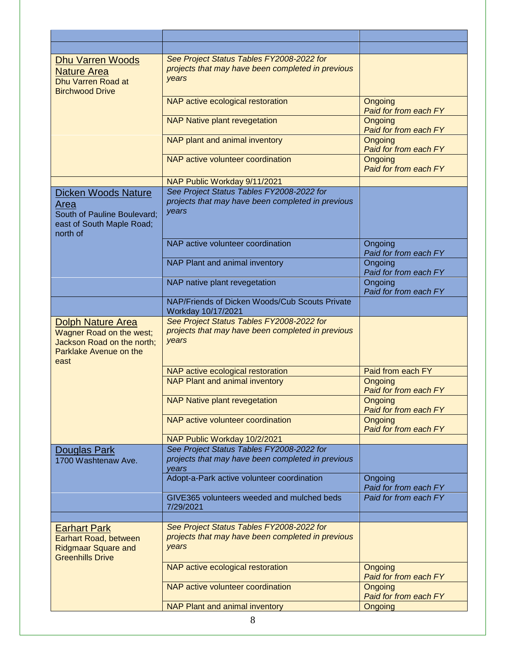| <b>Dhu Varren Woods</b><br><b>Nature Area</b><br>Dhu Varren Road at<br><b>Birchwood Drive</b>                        | See Project Status Tables FY2008-2022 for<br>projects that may have been completed in previous<br>years |                                  |
|----------------------------------------------------------------------------------------------------------------------|---------------------------------------------------------------------------------------------------------|----------------------------------|
|                                                                                                                      | NAP active ecological restoration                                                                       | Ongoing<br>Paid for from each FY |
|                                                                                                                      | <b>NAP Native plant revegetation</b>                                                                    | Ongoing<br>Paid for from each FY |
|                                                                                                                      | NAP plant and animal inventory                                                                          | Ongoing<br>Paid for from each FY |
|                                                                                                                      | NAP active volunteer coordination                                                                       | Ongoing<br>Paid for from each FY |
|                                                                                                                      | NAP Public Workday 9/11/2021                                                                            |                                  |
| <b>Dicken Woods Nature</b><br>Area<br>South of Pauline Boulevard;<br>east of South Maple Road;<br>north of           | See Project Status Tables FY2008-2022 for<br>projects that may have been completed in previous<br>years |                                  |
|                                                                                                                      | NAP active volunteer coordination                                                                       | Ongoing<br>Paid for from each FY |
|                                                                                                                      | NAP Plant and animal inventory                                                                          | Ongoing<br>Paid for from each FY |
|                                                                                                                      | NAP native plant revegetation                                                                           | Ongoing<br>Paid for from each FY |
|                                                                                                                      | NAP/Friends of Dicken Woods/Cub Scouts Private<br>Workday 10/17/2021                                    |                                  |
| <b>Dolph Nature Area</b><br>Wagner Road on the west;<br>Jackson Road on the north;<br>Parklake Avenue on the<br>east | See Project Status Tables FY2008-2022 for<br>projects that may have been completed in previous<br>years |                                  |
|                                                                                                                      | NAP active ecological restoration                                                                       | Paid from each FY                |
|                                                                                                                      | <b>NAP Plant and animal inventory</b>                                                                   | Ongoing<br>Paid for from each FY |
|                                                                                                                      | <b>NAP Native plant revegetation</b>                                                                    | Ongoing<br>Paid for from each FY |
|                                                                                                                      | NAP active volunteer coordination                                                                       | Ongoing<br>Paid for from each FY |
|                                                                                                                      | NAP Public Workday 10/2/2021                                                                            |                                  |
| Douglas Park<br>1700 Washtenaw Ave.                                                                                  | See Project Status Tables FY2008-2022 for<br>projects that may have been completed in previous<br>vears |                                  |
|                                                                                                                      | Adopt-a-Park active volunteer coordination                                                              | Ongoing<br>Paid for from each FY |
|                                                                                                                      | GIVE365 volunteers weeded and mulched beds<br>7/29/2021                                                 | Paid for from each FY            |
|                                                                                                                      |                                                                                                         |                                  |
| <b>Earhart Park</b><br>Earhart Road, between<br><b>Ridgmaar Square and</b><br><b>Greenhills Drive</b>                | See Project Status Tables FY2008-2022 for<br>projects that may have been completed in previous<br>years |                                  |
|                                                                                                                      | NAP active ecological restoration                                                                       | Ongoing<br>Paid for from each FY |
|                                                                                                                      | NAP active volunteer coordination                                                                       | Ongoing<br>Paid for from each FY |
|                                                                                                                      | NAP Plant and animal inventory                                                                          | Ongoing                          |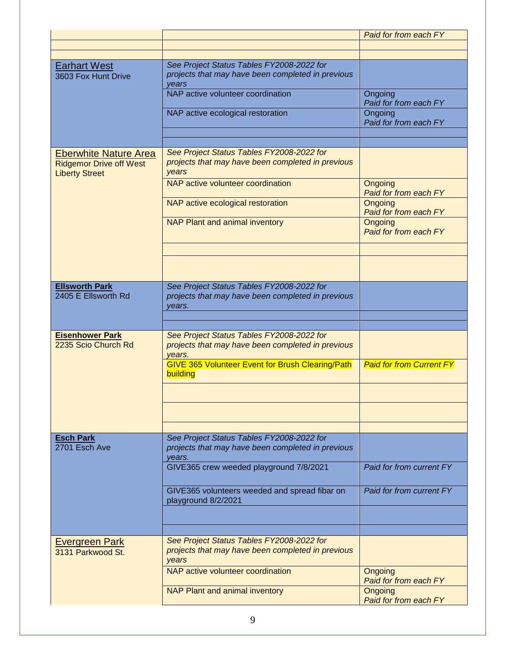|                                                                                         |                                                                                                          | Paid for from each FY            |
|-----------------------------------------------------------------------------------------|----------------------------------------------------------------------------------------------------------|----------------------------------|
|                                                                                         |                                                                                                          |                                  |
| <b>Earhart West</b>                                                                     | See Project Status Tables FY2008-2022 for                                                                |                                  |
| 3603 Fox Hunt Drive                                                                     | projects that may have been completed in previous<br>vears                                               |                                  |
|                                                                                         | NAP active volunteer coordination                                                                        | Ongoing<br>Paid for from each FY |
|                                                                                         | NAP active ecological restoration                                                                        | Ongoing<br>Paid for from each FY |
|                                                                                         |                                                                                                          |                                  |
| <b>Eberwhite Nature Area</b><br><b>Ridgemor Drive off West</b><br><b>Liberty Street</b> | See Project Status Tables FY2008-2022 for<br>projects that may have been completed in previous<br>years  |                                  |
|                                                                                         | NAP active volunteer coordination                                                                        | Ongoing<br>Paid for from each FY |
|                                                                                         | NAP active ecological restoration                                                                        | Ongoing<br>Paid for from each FY |
|                                                                                         | NAP Plant and animal inventory                                                                           | Ongoing<br>Paid for from each FY |
|                                                                                         |                                                                                                          |                                  |
|                                                                                         |                                                                                                          |                                  |
| <b>Ellsworth Park</b><br>2405 E Ellsworth Rd                                            | See Project Status Tables FY2008-2022 for<br>projects that may have been completed in previous<br>years. |                                  |
|                                                                                         |                                                                                                          |                                  |
| <b>Eisenhower Park</b><br>2235 Scio Church Rd                                           | See Project Status Tables FY2008-2022 for<br>projects that may have been completed in previous<br>vears. |                                  |
|                                                                                         | <b>GIVE 365 Volunteer Event for Brush Clearing/Path</b><br>building                                      | <b>Paid for from Current FY</b>  |
|                                                                                         |                                                                                                          |                                  |
|                                                                                         |                                                                                                          |                                  |
|                                                                                         |                                                                                                          |                                  |
| <b>Esch Park</b><br>2701 Esch Ave                                                       | See Project Status Tables FY2008-2022 for<br>projects that may have been completed in previous<br>years. |                                  |
|                                                                                         | GIVE365 crew weeded playground 7/8/2021                                                                  | Paid for from current FY         |
|                                                                                         | GIVE365 volunteers weeded and spread fibar on<br>playground 8/2/2021                                     | Paid for from current FY         |
|                                                                                         |                                                                                                          |                                  |
|                                                                                         |                                                                                                          |                                  |
| <b>Evergreen Park</b><br>3131 Parkwood St.                                              | See Project Status Tables FY2008-2022 for<br>projects that may have been completed in previous<br>years  |                                  |
|                                                                                         | NAP active volunteer coordination                                                                        | Ongoing<br>Paid for from each FY |
|                                                                                         | NAP Plant and animal inventory                                                                           | Ongoing<br>Paid for from each FY |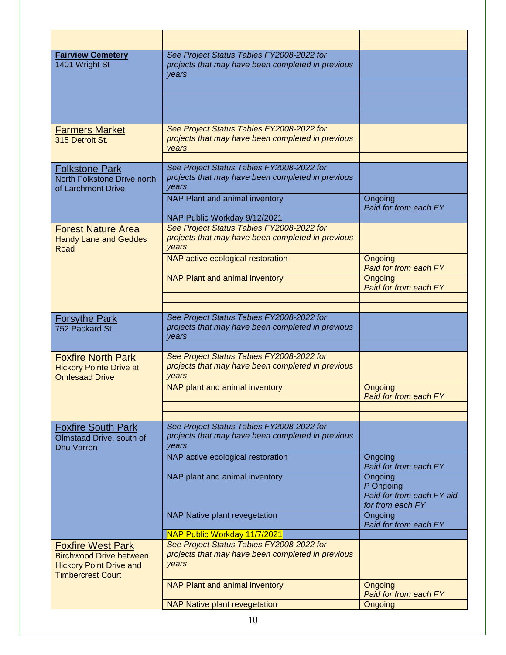| <b>Fairview Cemetery</b>                                                                                                 | See Project Status Tables FY2008-2022 for                                                               |                                                                       |
|--------------------------------------------------------------------------------------------------------------------------|---------------------------------------------------------------------------------------------------------|-----------------------------------------------------------------------|
| 1401 Wright St                                                                                                           | projects that may have been completed in previous<br>years                                              |                                                                       |
|                                                                                                                          |                                                                                                         |                                                                       |
|                                                                                                                          |                                                                                                         |                                                                       |
|                                                                                                                          |                                                                                                         |                                                                       |
| <b>Farmers Market</b><br>315 Detroit St.                                                                                 | See Project Status Tables FY2008-2022 for<br>projects that may have been completed in previous<br>vears |                                                                       |
| <b>Folkstone Park</b><br>North Folkstone Drive north<br>of Larchmont Drive                                               | See Project Status Tables FY2008-2022 for<br>projects that may have been completed in previous<br>years |                                                                       |
|                                                                                                                          | NAP Plant and animal inventory                                                                          | Ongoing<br>Paid for from each FY                                      |
|                                                                                                                          | NAP Public Workday 9/12/2021                                                                            |                                                                       |
| <b>Forest Nature Area</b><br><b>Handy Lane and Geddes</b><br>Road                                                        | See Project Status Tables FY2008-2022 for<br>projects that may have been completed in previous<br>years |                                                                       |
|                                                                                                                          | NAP active ecological restoration                                                                       | Ongoing<br>Paid for from each FY                                      |
|                                                                                                                          | NAP Plant and animal inventory                                                                          | Ongoing<br>Paid for from each FY                                      |
|                                                                                                                          |                                                                                                         |                                                                       |
| <b>Forsythe Park</b>                                                                                                     | See Project Status Tables FY2008-2022 for                                                               |                                                                       |
| 752 Packard St.                                                                                                          | projects that may have been completed in previous<br>vears                                              |                                                                       |
| <b>Foxfire North Park</b>                                                                                                | See Project Status Tables FY2008-2022 for                                                               |                                                                       |
| <b>Hickory Pointe Drive at</b><br><b>Omlesaad Drive</b>                                                                  | projects that may have been completed in previous<br>years                                              |                                                                       |
|                                                                                                                          | NAP plant and animal inventory                                                                          | Ongoing<br><b>Paid for from each FY</b>                               |
|                                                                                                                          |                                                                                                         |                                                                       |
| <b>Foxfire South Park</b><br>Olmstaad Drive, south of<br><b>Dhu Varren</b>                                               | See Project Status Tables FY2008-2022 for<br>projects that may have been completed in previous<br>years |                                                                       |
|                                                                                                                          | NAP active ecological restoration                                                                       | Ongoing<br>Paid for from each FY                                      |
|                                                                                                                          | NAP plant and animal inventory                                                                          | Ongoing<br>P Ongoing<br>Paid for from each FY aid<br>for from each FY |
|                                                                                                                          | NAP Native plant revegetation                                                                           | Ongoing<br>Paid for from each FY                                      |
|                                                                                                                          | NAP Public Workday 11/7/2021                                                                            |                                                                       |
| <b>Foxfire West Park</b><br><b>Birchwood Drive between</b><br><b>Hickory Point Drive and</b><br><b>Timbercrest Court</b> | See Project Status Tables FY2008-2022 for<br>projects that may have been completed in previous<br>years |                                                                       |
|                                                                                                                          | NAP Plant and animal inventory                                                                          | Ongoing<br>Paid for from each FY                                      |
|                                                                                                                          | <b>NAP Native plant revegetation</b>                                                                    | <b>Ongoing</b>                                                        |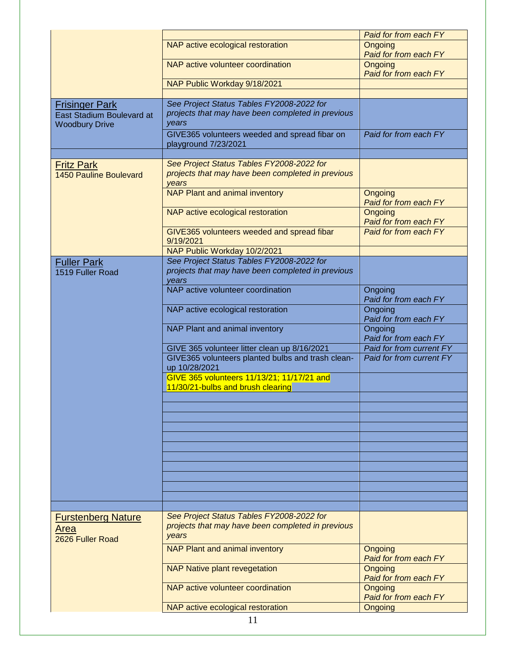|                                                    |                                                                                                         | Paid for from each FY                   |
|----------------------------------------------------|---------------------------------------------------------------------------------------------------------|-----------------------------------------|
|                                                    | NAP active ecological restoration                                                                       | <b>Ongoing</b>                          |
|                                                    |                                                                                                         | Paid for from each FY                   |
|                                                    | NAP active volunteer coordination                                                                       | <b>Ongoing</b><br>Paid for from each FY |
|                                                    | NAP Public Workday 9/18/2021                                                                            |                                         |
|                                                    |                                                                                                         |                                         |
| <b>Frisinger Park</b>                              | See Project Status Tables FY2008-2022 for                                                               |                                         |
| East Stadium Boulevard at<br><b>Woodbury Drive</b> | projects that may have been completed in previous<br>years                                              |                                         |
|                                                    | GIVE365 volunteers weeded and spread fibar on<br>playground 7/23/2021                                   | Paid for from each FY                   |
|                                                    |                                                                                                         |                                         |
| <b>Fritz Park</b><br><b>1450 Pauline Boulevard</b> | See Project Status Tables FY2008-2022 for<br>projects that may have been completed in previous<br>years |                                         |
|                                                    | <b>NAP Plant and animal inventory</b>                                                                   | Ongoing<br>Paid for from each FY        |
|                                                    | NAP active ecological restoration                                                                       | Ongoing<br>Paid for from each FY        |
|                                                    | GIVE365 volunteers weeded and spread fibar<br>9/19/2021                                                 | Paid for from each FY                   |
|                                                    | NAP Public Workday 10/2/2021                                                                            |                                         |
| <b>Fuller Park</b>                                 | See Project Status Tables FY2008-2022 for                                                               |                                         |
| 1519 Fuller Road                                   | projects that may have been completed in previous<br>vears                                              |                                         |
|                                                    | NAP active volunteer coordination                                                                       | Ongoing<br>Paid for from each FY        |
|                                                    | NAP active ecological restoration                                                                       | Ongoing<br>Paid for from each FY        |
|                                                    | NAP Plant and animal inventory                                                                          | Ongoing<br>Paid for from each FY        |
|                                                    | GIVE 365 volunteer litter clean up 8/16/2021                                                            | Paid for from current FY                |
|                                                    | GIVE365 volunteers planted bulbs and trash clean-<br>up 10/28/2021                                      | Paid for from current FY                |
|                                                    | GIVE 365 volunteers 11/13/21; 11/17/21 and<br>11/30/21-bulbs and brush clearing                         |                                         |
|                                                    |                                                                                                         |                                         |
|                                                    |                                                                                                         |                                         |
|                                                    |                                                                                                         |                                         |
|                                                    |                                                                                                         |                                         |
|                                                    |                                                                                                         |                                         |
|                                                    |                                                                                                         |                                         |
|                                                    |                                                                                                         |                                         |
|                                                    |                                                                                                         |                                         |
|                                                    |                                                                                                         |                                         |
|                                                    |                                                                                                         |                                         |
|                                                    |                                                                                                         |                                         |
| <b>Furstenberg Nature</b>                          | See Project Status Tables FY2008-2022 for                                                               |                                         |
| Area<br>2626 Fuller Road                           | projects that may have been completed in previous<br>years                                              |                                         |
|                                                    | NAP Plant and animal inventory                                                                          | Ongoing<br>Paid for from each FY        |
|                                                    | <b>NAP Native plant revegetation</b>                                                                    | Ongoing<br>Paid for from each FY        |
|                                                    | NAP active volunteer coordination                                                                       | Ongoing<br>Paid for from each FY        |
|                                                    | NAP active ecological restoration                                                                       | Ongoing                                 |
|                                                    | 11                                                                                                      |                                         |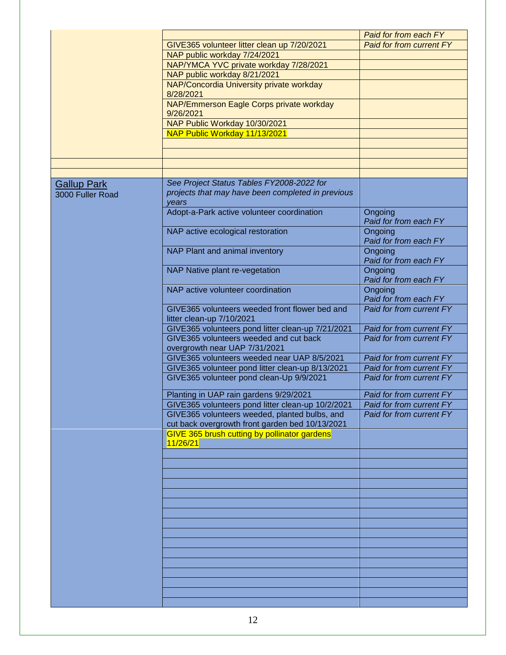|                    |                                                                             | Paid for from each FY            |
|--------------------|-----------------------------------------------------------------------------|----------------------------------|
|                    | GIVE365 volunteer litter clean up 7/20/2021                                 | Paid for from current FY         |
|                    | NAP public workday 7/24/2021                                                |                                  |
|                    | NAP/YMCA YVC private workday 7/28/2021                                      |                                  |
|                    | NAP public workday 8/21/2021                                                |                                  |
|                    | NAP/Concordia University private workday                                    |                                  |
|                    | 8/28/2021                                                                   |                                  |
|                    | NAP/Emmerson Eagle Corps private workday<br>9/26/2021                       |                                  |
|                    | NAP Public Workday 10/30/2021                                               |                                  |
|                    | NAP Public Workday 11/13/2021                                               |                                  |
|                    |                                                                             |                                  |
|                    |                                                                             |                                  |
|                    |                                                                             |                                  |
|                    |                                                                             |                                  |
| <b>Gallup Park</b> | See Project Status Tables FY2008-2022 for                                   |                                  |
| 3000 Fuller Road   | projects that may have been completed in previous<br>vears                  |                                  |
|                    | Adopt-a-Park active volunteer coordination                                  | Ongoing<br>Paid for from each FY |
|                    | NAP active ecological restoration                                           | Ongoing<br>Paid for from each FY |
|                    | NAP Plant and animal inventory                                              | Ongoing<br>Paid for from each FY |
|                    | NAP Native plant re-vegetation                                              | Ongoing<br>Paid for from each FY |
|                    | NAP active volunteer coordination                                           | Ongoing<br>Paid for from each FY |
|                    | GIVE365 volunteers weeded front flower bed and<br>litter clean-up 7/10/2021 | Paid for from current FY         |
|                    | GIVE365 volunteers pond litter clean-up 7/21/2021                           | Paid for from current FY         |
|                    | GIVE365 volunteers weeded and cut back<br>overgrowth near UAP 7/31/2021     | Paid for from current FY         |
|                    | GIVE365 volunteers weeded near UAP 8/5/2021                                 | Paid for from current FY         |
|                    | GIVE365 volunteer pond litter clean-up 8/13/2021                            | Paid for from current FY         |
|                    | GIVE365 volunteer pond clean-Up 9/9/2021                                    | Paid for from current FY         |
|                    | Planting in UAP rain gardens 9/29/2021                                      | Paid for from current FY         |
|                    | GIVE365 volunteers pond litter clean-up 10/2/2021                           | Paid for from current FY         |
|                    | GIVE365 volunteers weeded, planted bulbs, and                               | Paid for from current FY         |
|                    | cut back overgrowth front garden bed 10/13/2021                             |                                  |
|                    | GIVE 365 brush cutting by pollinator gardens<br>11/26/21                    |                                  |
|                    |                                                                             |                                  |
|                    |                                                                             |                                  |
|                    |                                                                             |                                  |
|                    |                                                                             |                                  |
|                    |                                                                             |                                  |
|                    |                                                                             |                                  |
|                    |                                                                             |                                  |
|                    |                                                                             |                                  |
|                    |                                                                             |                                  |
|                    |                                                                             |                                  |
|                    |                                                                             |                                  |
|                    |                                                                             |                                  |
|                    |                                                                             |                                  |
|                    |                                                                             |                                  |
|                    |                                                                             |                                  |
|                    |                                                                             |                                  |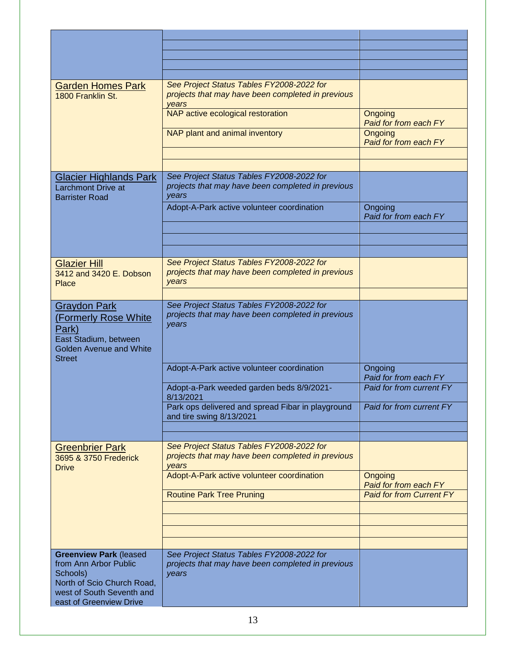| <b>Garden Homes Park</b><br>1800 Franklin St.                                                                                 | See Project Status Tables FY2008-2022 for<br>projects that may have been completed in previous<br>vears |                                  |
|-------------------------------------------------------------------------------------------------------------------------------|---------------------------------------------------------------------------------------------------------|----------------------------------|
|                                                                                                                               | NAP active ecological restoration                                                                       | Ongoing<br>Paid for from each FY |
|                                                                                                                               | NAP plant and animal inventory                                                                          | Ongoing<br>Paid for from each FY |
|                                                                                                                               |                                                                                                         |                                  |
| <b>Glacier Highlands Park</b><br>Larchmont Drive at<br><b>Barrister Road</b>                                                  | See Project Status Tables FY2008-2022 for<br>projects that may have been completed in previous<br>years |                                  |
|                                                                                                                               | Adopt-A-Park active volunteer coordination                                                              | Ongoing<br>Paid for from each FY |
|                                                                                                                               |                                                                                                         |                                  |
|                                                                                                                               |                                                                                                         |                                  |
| <b>Glazier Hill</b>                                                                                                           | See Project Status Tables FY2008-2022 for                                                               |                                  |
| 3412 and 3420 E. Dobson<br>Place                                                                                              | projects that may have been completed in previous<br>years                                              |                                  |
| <b>Graydon Park</b>                                                                                                           | See Project Status Tables FY2008-2022 for                                                               |                                  |
| (Formerly Rose White<br>Park)<br>East Stadium, between<br><b>Golden Avenue and White</b><br><b>Street</b>                     | projects that may have been completed in previous<br>years                                              |                                  |
|                                                                                                                               | Adopt-A-Park active volunteer coordination                                                              | Ongoing<br>Paid for from each FY |
|                                                                                                                               | Adopt-a-Park weeded garden beds 8/9/2021-<br>8/13/2021                                                  | Paid for from current FY         |
|                                                                                                                               | Park ops delivered and spread Fibar in playground<br>and tire swing 8/13/2021                           | Paid for from current FY         |
|                                                                                                                               |                                                                                                         |                                  |
| <b>Greenbrier Park</b><br>3695 & 3750 Frederick<br><b>Drive</b>                                                               | See Project Status Tables FY2008-2022 for<br>projects that may have been completed in previous<br>years |                                  |
|                                                                                                                               | Adopt-A-Park active volunteer coordination                                                              | Ongoing<br>Paid for from each FY |
|                                                                                                                               | <b>Routine Park Tree Pruning</b>                                                                        | <b>Paid for from Current FY</b>  |
|                                                                                                                               |                                                                                                         |                                  |
|                                                                                                                               |                                                                                                         |                                  |
|                                                                                                                               |                                                                                                         |                                  |
| <b>Greenview Park (leased</b><br>from Ann Arbor Public<br>Schools)<br>North of Scio Church Road,<br>west of South Seventh and | See Project Status Tables FY2008-2022 for<br>projects that may have been completed in previous<br>years |                                  |
| east of Greenview Drive                                                                                                       |                                                                                                         |                                  |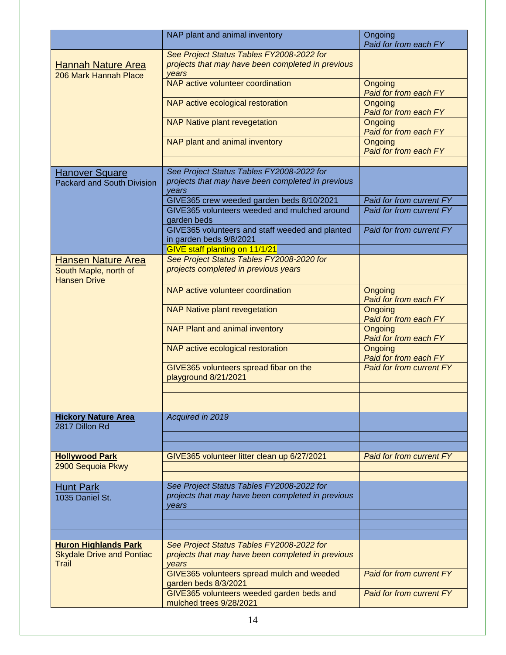|                                                                          | NAP plant and animal inventory                                                                          | Ongoing<br>Paid for from each FY |
|--------------------------------------------------------------------------|---------------------------------------------------------------------------------------------------------|----------------------------------|
| <b>Hannah Nature Area</b><br>206 Mark Hannah Place                       | See Project Status Tables FY2008-2022 for<br>projects that may have been completed in previous<br>years |                                  |
|                                                                          | NAP active volunteer coordination                                                                       | Ongoing<br>Paid for from each FY |
|                                                                          | NAP active ecological restoration                                                                       | Ongoing<br>Paid for from each FY |
|                                                                          | <b>NAP Native plant revegetation</b>                                                                    | Ongoing<br>Paid for from each FY |
|                                                                          | NAP plant and animal inventory                                                                          | Ongoing<br>Paid for from each FY |
|                                                                          |                                                                                                         |                                  |
| Hanover Square<br><b>Packard and South Division</b>                      | See Project Status Tables FY2008-2022 for<br>projects that may have been completed in previous<br>years |                                  |
|                                                                          | GIVE365 crew weeded garden beds 8/10/2021                                                               | Paid for from current FY         |
|                                                                          | GIVE365 volunteers weeded and mulched around<br>garden beds                                             | Paid for from current FY         |
|                                                                          | GIVE365 volunteers and staff weeded and planted<br>in garden beds 9/8/2021                              | Paid for from current FY         |
|                                                                          | GIVE staff planting on 11/1/21                                                                          |                                  |
| <b>Hansen Nature Area</b>                                                | See Project Status Tables FY2008-2020 for                                                               |                                  |
| South Maple, north of<br><b>Hansen Drive</b>                             | projects completed in previous years                                                                    |                                  |
|                                                                          | NAP active volunteer coordination                                                                       | Ongoing<br>Paid for from each FY |
|                                                                          | <b>NAP Native plant revegetation</b>                                                                    | Ongoing<br>Paid for from each FY |
|                                                                          | <b>NAP Plant and animal inventory</b>                                                                   | Ongoing<br>Paid for from each FY |
|                                                                          | NAP active ecological restoration                                                                       | Ongoing<br>Paid for from each FY |
|                                                                          | GIVE365 volunteers spread fibar on the<br>playground 8/21/2021                                          | <b>Paid for from current FY</b>  |
|                                                                          |                                                                                                         |                                  |
|                                                                          |                                                                                                         |                                  |
| <b>Hickory Nature Area</b><br>2817 Dillon Rd                             | Acquired in 2019                                                                                        |                                  |
|                                                                          |                                                                                                         |                                  |
| <b>Hollywood Park</b>                                                    | GIVE365 volunteer litter clean up 6/27/2021                                                             | Paid for from current FY         |
| 2900 Sequoia Pkwy                                                        |                                                                                                         |                                  |
| <b>Hunt Park</b>                                                         | See Project Status Tables FY2008-2022 for                                                               |                                  |
| 1035 Daniel St.                                                          | projects that may have been completed in previous<br>vears                                              |                                  |
|                                                                          |                                                                                                         |                                  |
|                                                                          |                                                                                                         |                                  |
|                                                                          |                                                                                                         |                                  |
| <b>Huron Highlands Park</b><br><b>Skydale Drive and Pontiac</b><br>Trail | See Project Status Tables FY2008-2022 for<br>projects that may have been completed in previous<br>years |                                  |
|                                                                          | GIVE365 volunteers spread mulch and weeded<br>garden beds 8/3/2021                                      | <b>Paid for from current FY</b>  |
|                                                                          | GIVE365 volunteers weeded garden beds and<br>mulched trees 9/28/2021                                    | <b>Paid for from current FY</b>  |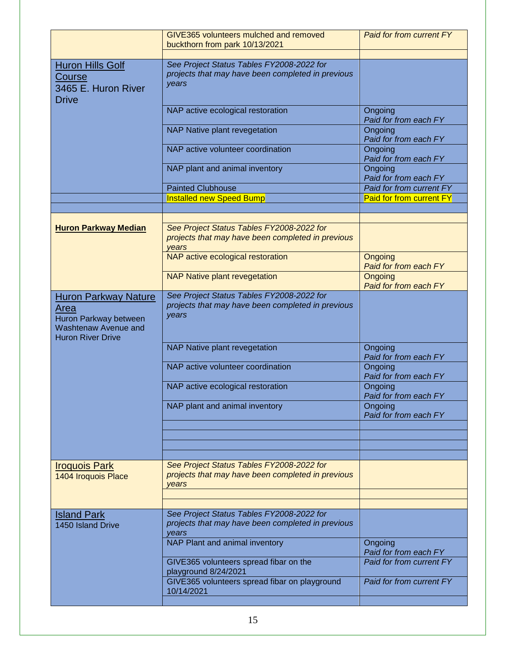|                                                                                                                  | GIVE365 volunteers mulched and removed<br>buckthorn from park 10/13/2021                                | Paid for from current FY         |
|------------------------------------------------------------------------------------------------------------------|---------------------------------------------------------------------------------------------------------|----------------------------------|
| <b>Huron Hills Golf</b><br><b>Course</b><br>3465 E. Huron River<br><b>Drive</b>                                  | See Project Status Tables FY2008-2022 for<br>projects that may have been completed in previous<br>years |                                  |
|                                                                                                                  | NAP active ecological restoration                                                                       | Ongoing<br>Paid for from each FY |
|                                                                                                                  | <b>NAP Native plant revegetation</b>                                                                    | Ongoing<br>Paid for from each FY |
|                                                                                                                  | NAP active volunteer coordination                                                                       | Ongoing<br>Paid for from each FY |
|                                                                                                                  | NAP plant and animal inventory                                                                          | Ongoing<br>Paid for from each FY |
|                                                                                                                  | <b>Painted Clubhouse</b>                                                                                | Paid for from current FY         |
|                                                                                                                  | <b>Installed new Speed Bump</b>                                                                         | <b>Paid for from current FY</b>  |
|                                                                                                                  |                                                                                                         |                                  |
|                                                                                                                  |                                                                                                         |                                  |
| <b>Huron Parkway Median</b>                                                                                      | See Project Status Tables FY2008-2022 for<br>projects that may have been completed in previous<br>years |                                  |
|                                                                                                                  | NAP active ecological restoration                                                                       | Ongoing<br>Paid for from each FY |
|                                                                                                                  | <b>NAP Native plant revegetation</b>                                                                    | Ongoing<br>Paid for from each FY |
| <b>Huron Parkway Nature</b><br>Area<br>Huron Parkway between<br>Washtenaw Avenue and<br><b>Huron River Drive</b> | See Project Status Tables FY2008-2022 for<br>projects that may have been completed in previous<br>years |                                  |
|                                                                                                                  | <b>NAP Native plant revegetation</b>                                                                    | Ongoing<br>Paid for from each FY |
|                                                                                                                  | NAP active volunteer coordination                                                                       | Ongoing<br>Paid for from each FY |
|                                                                                                                  | NAP active ecological restoration                                                                       | Ongoing<br>Paid for from each FY |
|                                                                                                                  | NAP plant and animal inventory                                                                          | Ongoing<br>Paid for from each FY |
|                                                                                                                  |                                                                                                         |                                  |
|                                                                                                                  |                                                                                                         |                                  |
| <b>Iroquois Park</b><br>1404 Iroquois Place                                                                      | See Project Status Tables FY2008-2022 for<br>projects that may have been completed in previous<br>vears |                                  |
|                                                                                                                  |                                                                                                         |                                  |
| <b>Island Park</b><br>1450 Island Drive                                                                          | See Project Status Tables FY2008-2022 for<br>projects that may have been completed in previous<br>vears |                                  |
|                                                                                                                  | NAP Plant and animal inventory                                                                          | Ongoing<br>Paid for from each FY |
|                                                                                                                  | GIVE365 volunteers spread fibar on the<br>playground 8/24/2021                                          | Paid for from current FY         |
|                                                                                                                  | GIVE365 volunteers spread fibar on playground<br>10/14/2021                                             | Paid for from current FY         |
|                                                                                                                  |                                                                                                         |                                  |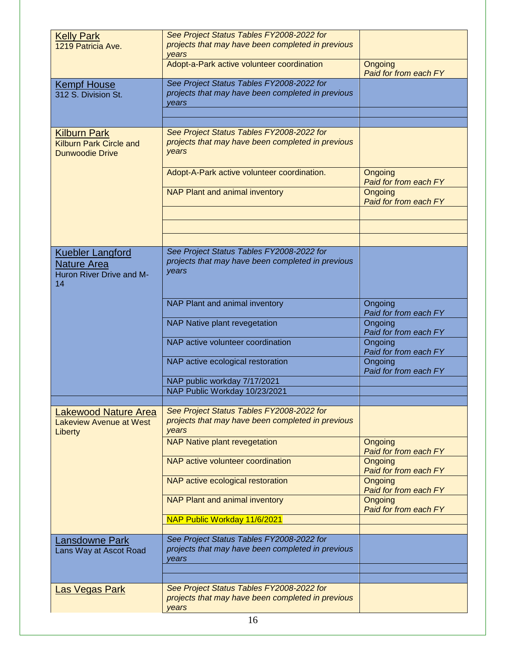| <b>Kelly Park</b>              | See Project Status Tables FY2008-2022 for         |                                  |
|--------------------------------|---------------------------------------------------|----------------------------------|
| 1219 Patricia Ave.             | projects that may have been completed in previous |                                  |
|                                | years                                             |                                  |
|                                | Adopt-a-Park active volunteer coordination        | Ongoing                          |
|                                |                                                   | Paid for from each FY            |
| <b>Kempf House</b>             | See Project Status Tables FY2008-2022 for         |                                  |
| 312 S. Division St.            | projects that may have been completed in previous |                                  |
|                                | years                                             |                                  |
|                                |                                                   |                                  |
|                                |                                                   |                                  |
| <b>Kilburn Park</b>            | See Project Status Tables FY2008-2022 for         |                                  |
| <b>Kilburn Park Circle and</b> | projects that may have been completed in previous |                                  |
| <b>Dunwoodie Drive</b>         | years                                             |                                  |
|                                |                                                   |                                  |
|                                | Adopt-A-Park active volunteer coordination.       | Ongoing                          |
|                                |                                                   | Paid for from each FY            |
|                                | <b>NAP Plant and animal inventory</b>             | Ongoing                          |
|                                |                                                   | Paid for from each FY            |
|                                |                                                   |                                  |
|                                |                                                   |                                  |
|                                |                                                   |                                  |
|                                |                                                   |                                  |
| <b>Kuebler Langford</b>        | See Project Status Tables FY2008-2022 for         |                                  |
| <b>Nature Area</b>             | projects that may have been completed in previous |                                  |
| Huron River Drive and M-       | years                                             |                                  |
| 14                             |                                                   |                                  |
|                                |                                                   |                                  |
|                                | NAP Plant and animal inventory                    | Ongoing                          |
|                                |                                                   | Paid for from each FY            |
|                                | NAP Native plant revegetation                     | Ongoing                          |
|                                |                                                   | Paid for from each FY            |
|                                | NAP active volunteer coordination                 | Ongoing                          |
|                                |                                                   | Paid for from each FY            |
|                                | NAP active ecological restoration                 | Ongoing                          |
|                                |                                                   | Paid for from each FY            |
|                                | NAP public workday 7/17/2021                      |                                  |
|                                | NAP Public Workday 10/23/2021                     |                                  |
|                                |                                                   |                                  |
| <b>Lakewood Nature Area</b>    | See Project Status Tables FY2008-2022 for         |                                  |
| Lakeview Avenue at West        | projects that may have been completed in previous |                                  |
| Liberty                        | years                                             |                                  |
|                                | <b>NAP Native plant revegetation</b>              | Ongoing                          |
|                                |                                                   | Paid for from each FY            |
|                                | NAP active volunteer coordination                 | Ongoing                          |
|                                |                                                   | Paid for from each FY            |
|                                | NAP active ecological restoration                 | Ongoing                          |
|                                |                                                   | Paid for from each FY            |
|                                | NAP Plant and animal inventory                    | Ongoing<br>Paid for from each FY |
|                                | NAP Public Workday 11/6/2021                      |                                  |
|                                |                                                   |                                  |
|                                | See Project Status Tables FY2008-2022 for         |                                  |
| <b>Lansdowne Park</b>          | projects that may have been completed in previous |                                  |
| Lans Way at Ascot Road         | years                                             |                                  |
|                                |                                                   |                                  |
|                                |                                                   |                                  |
| <b>Las Vegas Park</b>          | See Project Status Tables FY2008-2022 for         |                                  |
|                                | projects that may have been completed in previous |                                  |
|                                | vears                                             |                                  |
|                                | 16                                                |                                  |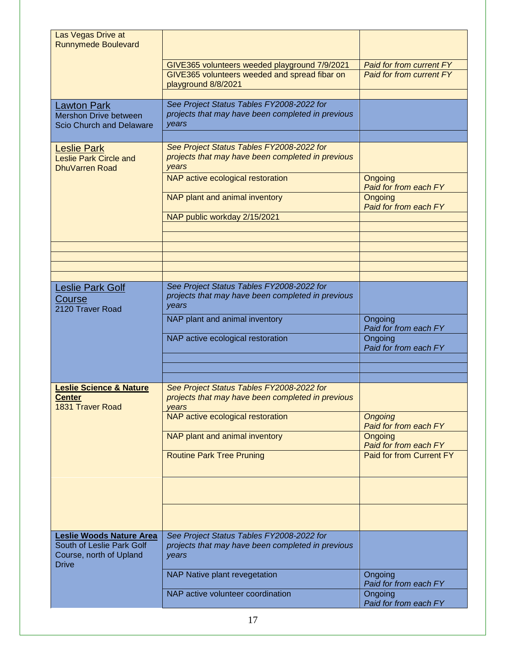| Las Vegas Drive at<br><b>Runnymede Boulevard</b>                                                 |                                                                                                         |                                                                    |
|--------------------------------------------------------------------------------------------------|---------------------------------------------------------------------------------------------------------|--------------------------------------------------------------------|
|                                                                                                  | GIVE365 volunteers weeded playground 7/9/2021<br>GIVE365 volunteers weeded and spread fibar on          | <b>Paid for from current FY</b><br><b>Paid for from current FY</b> |
|                                                                                                  | playground 8/8/2021                                                                                     |                                                                    |
| <b>Lawton Park</b><br><b>Mershon Drive between</b><br><b>Scio Church and Delaware</b>            | See Project Status Tables FY2008-2022 for<br>projects that may have been completed in previous<br>years |                                                                    |
| <b>Leslie Park</b><br><b>Leslie Park Circle and</b><br>DhuVarren Road                            | See Project Status Tables FY2008-2022 for<br>projects that may have been completed in previous<br>years |                                                                    |
|                                                                                                  | NAP active ecological restoration                                                                       | Ongoing<br>Paid for from each FY                                   |
|                                                                                                  | NAP plant and animal inventory                                                                          | Ongoing<br>Paid for from each FY                                   |
|                                                                                                  | NAP public workday 2/15/2021                                                                            |                                                                    |
|                                                                                                  |                                                                                                         |                                                                    |
|                                                                                                  |                                                                                                         |                                                                    |
|                                                                                                  |                                                                                                         |                                                                    |
| Leslie Park Golf<br>Course<br>2120 Traver Road                                                   | See Project Status Tables FY2008-2022 for<br>projects that may have been completed in previous<br>years |                                                                    |
|                                                                                                  | NAP plant and animal inventory                                                                          | Ongoing<br>Paid for from each FY                                   |
|                                                                                                  | NAP active ecological restoration                                                                       | Ongoing<br>Paid for from each FY                                   |
|                                                                                                  |                                                                                                         |                                                                    |
| <b>Leslie Science &amp; Nature</b>                                                               |                                                                                                         |                                                                    |
| <u>Center</u><br><b>1831 Traver Road</b>                                                         | See Project Status Tables FY2008-2022 for<br>projects that may have been completed in previous<br>years |                                                                    |
|                                                                                                  | NAP active ecological restoration                                                                       | <b>Ongoing</b><br>Paid for from each FY                            |
|                                                                                                  | NAP plant and animal inventory                                                                          | Ongoing<br>Paid for from each FY                                   |
|                                                                                                  | <b>Routine Park Tree Pruning</b>                                                                        | Paid for from Current FY                                           |
|                                                                                                  |                                                                                                         |                                                                    |
|                                                                                                  |                                                                                                         |                                                                    |
| Leslie Woods Nature Area<br>South of Leslie Park Golf<br>Course, north of Upland<br><b>Drive</b> | See Project Status Tables FY2008-2022 for<br>projects that may have been completed in previous<br>years |                                                                    |
|                                                                                                  | NAP Native plant revegetation                                                                           | Ongoing<br>Paid for from each FY                                   |
|                                                                                                  | NAP active volunteer coordination                                                                       | Ongoing<br>Paid for from each FY                                   |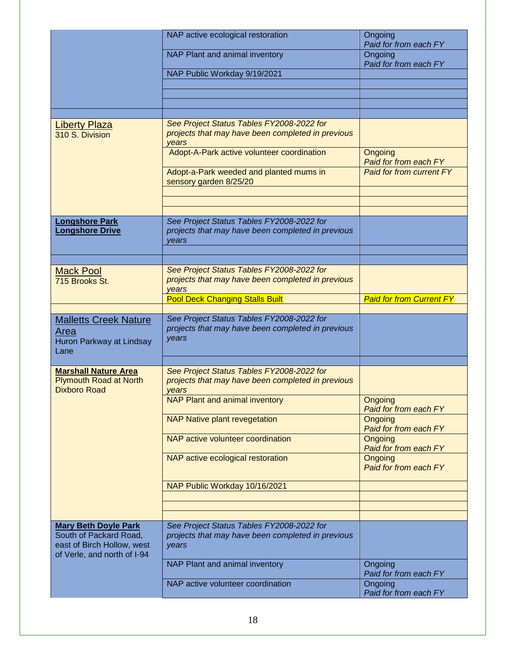|                                                                                     | NAP active ecological restoration                                                                       | Ongoing<br>Paid for from each FY |
|-------------------------------------------------------------------------------------|---------------------------------------------------------------------------------------------------------|----------------------------------|
|                                                                                     | NAP Plant and animal inventory                                                                          | Ongoing<br>Paid for from each FY |
|                                                                                     | NAP Public Workday 9/19/2021                                                                            |                                  |
|                                                                                     |                                                                                                         |                                  |
|                                                                                     |                                                                                                         |                                  |
| <b>Liberty Plaza</b><br>310 S. Division                                             | See Project Status Tables FY2008-2022 for<br>projects that may have been completed in previous<br>years |                                  |
|                                                                                     | Adopt-A-Park active volunteer coordination                                                              | Ongoing<br>Paid for from each FY |
|                                                                                     | Adopt-a-Park weeded and planted mums in<br>sensory garden 8/25/20                                       | <b>Paid for from current FY</b>  |
|                                                                                     |                                                                                                         |                                  |
| <b>Longshore Park</b><br><b>Longshore Drive</b>                                     | See Project Status Tables FY2008-2022 for<br>projects that may have been completed in previous<br>years |                                  |
|                                                                                     |                                                                                                         |                                  |
| <b>Mack Pool</b><br>715 Brooks St.                                                  | See Project Status Tables FY2008-2022 for<br>projects that may have been completed in previous<br>years |                                  |
|                                                                                     | <b>Pool Deck Changing Stalls Built</b>                                                                  | <b>Paid for from Current FY</b>  |
| <b>Malletts Creek Nature</b><br>Area<br>Huron Parkway at Lindsay<br>Lane            | See Project Status Tables FY2008-2022 for<br>projects that may have been completed in previous<br>years |                                  |
|                                                                                     |                                                                                                         |                                  |
| <b>Marshall Nature Area</b><br><b>Plymouth Road at North</b><br><b>Dixboro Road</b> | See Project Status Tables FY2008-2022 for<br>projects that may have been completed in previous<br>vears |                                  |
|                                                                                     | <b>NAP Plant and animal inventory</b>                                                                   | Ongoing<br>Paid for from each FY |
|                                                                                     | <b>NAP Native plant revegetation</b>                                                                    | Ongoing<br>Paid for from each FY |
|                                                                                     | NAP active volunteer coordination                                                                       | Ongoing<br>Paid for from each FY |
|                                                                                     | NAP active ecological restoration                                                                       | Ongoing<br>Paid for from each FY |
|                                                                                     | NAP Public Workday 10/16/2021                                                                           |                                  |
|                                                                                     |                                                                                                         |                                  |
| <b>Mary Beth Doyle Park</b>                                                         | See Project Status Tables FY2008-2022 for                                                               |                                  |
| South of Packard Road,<br>east of Birch Hollow, west<br>of Verle, and north of I-94 | projects that may have been completed in previous<br>years                                              |                                  |
|                                                                                     | NAP Plant and animal inventory                                                                          | Ongoing<br>Paid for from each FY |
|                                                                                     | NAP active volunteer coordination                                                                       | Ongoing<br>Paid for from each FY |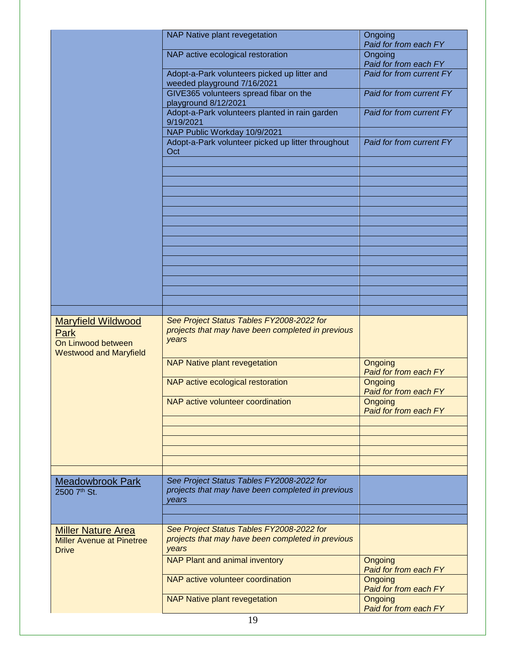|                                                                                          | NAP Native plant revegetation                                                                           | Ongoing<br>Paid for from each FY |
|------------------------------------------------------------------------------------------|---------------------------------------------------------------------------------------------------------|----------------------------------|
|                                                                                          | NAP active ecological restoration                                                                       | Ongoing<br>Paid for from each FY |
|                                                                                          | Adopt-a-Park volunteers picked up litter and<br>weeded playground 7/16/2021                             | Paid for from current FY         |
|                                                                                          | GIVE365 volunteers spread fibar on the<br>playground 8/12/2021                                          | Paid for from current FY         |
|                                                                                          | Adopt-a-Park volunteers planted in rain garden<br>9/19/2021                                             | Paid for from current FY         |
|                                                                                          | NAP Public Workday 10/9/2021<br>Adopt-a-Park volunteer picked up litter throughout                      | Paid for from current FY         |
|                                                                                          | Oct                                                                                                     |                                  |
|                                                                                          |                                                                                                         |                                  |
|                                                                                          |                                                                                                         |                                  |
|                                                                                          |                                                                                                         |                                  |
|                                                                                          |                                                                                                         |                                  |
|                                                                                          |                                                                                                         |                                  |
|                                                                                          |                                                                                                         |                                  |
|                                                                                          |                                                                                                         |                                  |
|                                                                                          |                                                                                                         |                                  |
| <b>Maryfield Wildwood</b><br>Park<br>On Linwood between<br><b>Westwood and Maryfield</b> | See Project Status Tables FY2008-2022 for<br>projects that may have been completed in previous<br>years |                                  |
|                                                                                          | <b>NAP Native plant revegetation</b>                                                                    | Ongoing<br>Paid for from each FY |
|                                                                                          | NAP active ecological restoration                                                                       | Ongoing<br>Paid for from each FY |
|                                                                                          | NAP active volunteer coordination                                                                       | Ongoing<br>Paid for from each FY |
|                                                                                          |                                                                                                         |                                  |
|                                                                                          |                                                                                                         |                                  |
|                                                                                          |                                                                                                         |                                  |
| <b>Meadowbrook Park</b><br>2500 7th St.                                                  | See Project Status Tables FY2008-2022 for<br>projects that may have been completed in previous<br>vears |                                  |
|                                                                                          |                                                                                                         |                                  |
| <b>Miller Nature Area</b><br><b>Miller Avenue at Pinetree</b><br><b>Drive</b>            | See Project Status Tables FY2008-2022 for<br>projects that may have been completed in previous<br>years |                                  |
|                                                                                          | NAP Plant and animal inventory                                                                          | Ongoing<br>Paid for from each FY |
|                                                                                          | NAP active volunteer coordination                                                                       | Ongoing<br>Paid for from each FY |
|                                                                                          | <b>NAP Native plant revegetation</b>                                                                    | Ongoing<br>Paid for from each FY |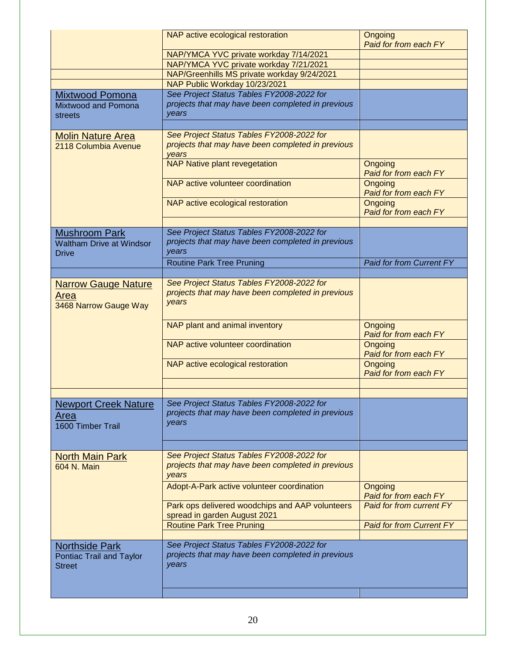|                                                                    | NAP active ecological restoration<br>NAP/YMCA YVC private workday 7/14/2021<br>NAP/YMCA YVC private workday 7/21/2021                           | Ongoing<br>Paid for from each FY        |
|--------------------------------------------------------------------|-------------------------------------------------------------------------------------------------------------------------------------------------|-----------------------------------------|
|                                                                    | NAP/Greenhills MS private workday 9/24/2021<br>NAP Public Workday 10/23/2021                                                                    |                                         |
| <b>Mixtwood Pomona</b><br>Mixtwood and Pomona<br>streets           | See Project Status Tables FY2008-2022 for<br>projects that may have been completed in previous<br>years                                         |                                         |
|                                                                    |                                                                                                                                                 |                                         |
| <b>Molin Nature Area</b><br>2118 Columbia Avenue                   | See Project Status Tables FY2008-2022 for<br>projects that may have been completed in previous<br>years<br><b>NAP Native plant revegetation</b> | Ongoing                                 |
|                                                                    |                                                                                                                                                 | Paid for from each FY                   |
|                                                                    | NAP active volunteer coordination                                                                                                               | Ongoing<br>Paid for from each FY        |
|                                                                    | NAP active ecological restoration                                                                                                               | <b>Ongoing</b><br>Paid for from each FY |
| <b>Mushroom Park</b>                                               | See Project Status Tables FY2008-2022 for                                                                                                       |                                         |
| <b>Waltham Drive at Windsor</b><br><b>Drive</b>                    | projects that may have been completed in previous<br>years                                                                                      |                                         |
|                                                                    | <b>Routine Park Tree Pruning</b>                                                                                                                | <b>Paid for from Current FY</b>         |
|                                                                    |                                                                                                                                                 |                                         |
| <b>Narrow Gauge Nature</b><br>Area<br>3468 Narrow Gauge Way        | See Project Status Tables FY2008-2022 for<br>projects that may have been completed in previous<br>years                                         |                                         |
|                                                                    | NAP plant and animal inventory                                                                                                                  | Ongoing<br>Paid for from each FY        |
|                                                                    | NAP active volunteer coordination                                                                                                               | Ongoing<br>Paid for from each FY        |
|                                                                    | NAP active ecological restoration                                                                                                               | Ongoing<br>Paid for from each FY        |
|                                                                    |                                                                                                                                                 |                                         |
| <b>Newport Creek Nature</b><br>Area<br>1600 Timber Trail           | See Project Status Tables FY2008-2022 for<br>projects that may have been completed in previous<br>years                                         |                                         |
|                                                                    |                                                                                                                                                 |                                         |
| <b>North Main Park</b><br>604 N. Main                              | See Project Status Tables FY2008-2022 for<br>projects that may have been completed in previous<br>years                                         |                                         |
|                                                                    | Adopt-A-Park active volunteer coordination                                                                                                      | Ongoing<br>Paid for from each FY        |
|                                                                    | Park ops delivered woodchips and AAP volunteers<br>spread in garden August 2021                                                                 | <b>Paid for from current FY</b>         |
|                                                                    | <b>Routine Park Tree Pruning</b>                                                                                                                | <b>Paid for from Current FY</b>         |
| <b>Northside Park</b><br>Pontiac Trail and Taylor<br><b>Street</b> | See Project Status Tables FY2008-2022 for<br>projects that may have been completed in previous<br>years                                         |                                         |
|                                                                    |                                                                                                                                                 |                                         |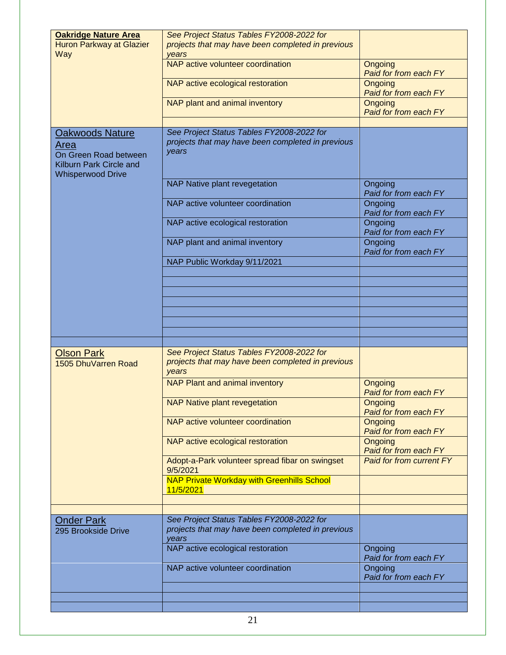| <b>Oakridge Nature Area</b><br>Huron Parkway at Glazier<br>Way                                                 | See Project Status Tables FY2008-2022 for<br>projects that may have been completed in previous<br>years |                                         |
|----------------------------------------------------------------------------------------------------------------|---------------------------------------------------------------------------------------------------------|-----------------------------------------|
|                                                                                                                | NAP active volunteer coordination                                                                       | Ongoing<br>Paid for from each FY        |
|                                                                                                                | NAP active ecological restoration                                                                       | <b>Ongoing</b><br>Paid for from each FY |
|                                                                                                                | NAP plant and animal inventory                                                                          | Ongoing<br>Paid for from each FY        |
|                                                                                                                |                                                                                                         |                                         |
| <b>Oakwoods Nature</b><br>Area<br>On Green Road between<br>Kilburn Park Circle and<br><b>Whisperwood Drive</b> | See Project Status Tables FY2008-2022 for<br>projects that may have been completed in previous<br>years |                                         |
|                                                                                                                | NAP Native plant revegetation                                                                           | Ongoing<br>Paid for from each FY        |
|                                                                                                                | NAP active volunteer coordination                                                                       | Ongoing<br>Paid for from each FY        |
|                                                                                                                | NAP active ecological restoration                                                                       | Ongoing<br>Paid for from each FY        |
|                                                                                                                | NAP plant and animal inventory                                                                          | Ongoing<br>Paid for from each FY        |
|                                                                                                                | NAP Public Workday 9/11/2021                                                                            |                                         |
|                                                                                                                |                                                                                                         |                                         |
|                                                                                                                |                                                                                                         |                                         |
|                                                                                                                |                                                                                                         |                                         |
|                                                                                                                |                                                                                                         |                                         |
|                                                                                                                |                                                                                                         |                                         |
|                                                                                                                |                                                                                                         |                                         |
| <b>Olson Park</b><br>1505 DhuVarren Road                                                                       | See Project Status Tables FY2008-2022 for<br>projects that may have been completed in previous<br>years |                                         |
|                                                                                                                | NAP Plant and animal inventory                                                                          | Ongoing<br>Paid for from each FY        |
|                                                                                                                | <b>NAP Native plant revegetation</b>                                                                    | Ongoing<br>Paid for from each FY        |
|                                                                                                                | NAP active volunteer coordination                                                                       | Ongoing<br>Paid for from each FY        |
|                                                                                                                | NAP active ecological restoration                                                                       | Ongoing<br>Paid for from each FY        |
|                                                                                                                | Adopt-a-Park volunteer spread fibar on swingset<br>9/5/2021                                             | <b>Paid for from current FY</b>         |
|                                                                                                                | <b>NAP Private Workday with Greenhills School</b><br>11/5/2021                                          |                                         |
|                                                                                                                |                                                                                                         |                                         |
| <b>Onder Park</b>                                                                                              | See Project Status Tables FY2008-2022 for                                                               |                                         |
| 295 Brookside Drive                                                                                            | projects that may have been completed in previous<br>vears                                              |                                         |
|                                                                                                                | NAP active ecological restoration                                                                       | Ongoing<br>Paid for from each FY        |
|                                                                                                                | NAP active volunteer coordination                                                                       | Ongoing                                 |
|                                                                                                                |                                                                                                         | Paid for from each FY                   |
|                                                                                                                |                                                                                                         |                                         |
|                                                                                                                |                                                                                                         |                                         |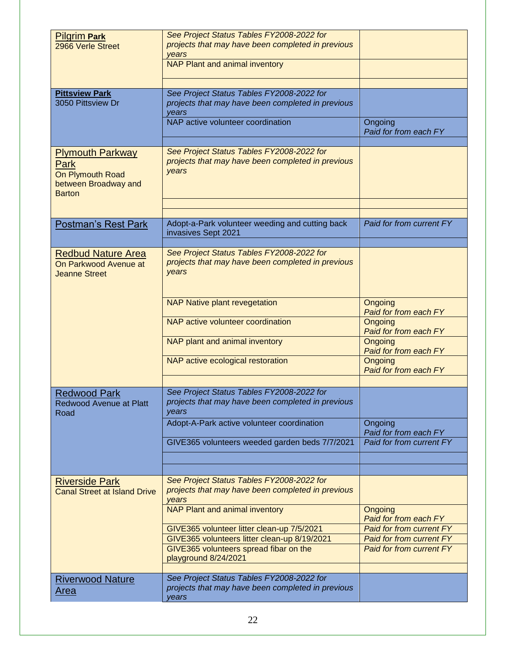| <b>Pilgrim Park</b>                 | See Project Status Tables FY2008-2022 for         |                                 |
|-------------------------------------|---------------------------------------------------|---------------------------------|
| 2966 Verle Street                   | projects that may have been completed in previous |                                 |
|                                     | years                                             |                                 |
|                                     | <b>NAP Plant and animal inventory</b>             |                                 |
|                                     |                                                   |                                 |
|                                     |                                                   |                                 |
| <b>Pittsview Park</b>               | See Project Status Tables FY2008-2022 for         |                                 |
| 3050 Pittsview Dr                   | projects that may have been completed in previous |                                 |
|                                     | vears                                             |                                 |
|                                     | NAP active volunteer coordination                 | Ongoing                         |
|                                     |                                                   | Paid for from each FY           |
|                                     |                                                   |                                 |
| <b>Plymouth Parkway</b>             | See Project Status Tables FY2008-2022 for         |                                 |
| Park                                | projects that may have been completed in previous |                                 |
|                                     | years                                             |                                 |
| On Plymouth Road                    |                                                   |                                 |
| between Broadway and                |                                                   |                                 |
| <b>Barton</b>                       |                                                   |                                 |
|                                     |                                                   |                                 |
|                                     |                                                   |                                 |
| <b>Postman's Rest Park</b>          | Adopt-a-Park volunteer weeding and cutting back   | Paid for from current FY        |
|                                     | invasives Sept 2021                               |                                 |
|                                     |                                                   |                                 |
| <b>Redbud Nature Area</b>           | See Project Status Tables FY2008-2022 for         |                                 |
| On Parkwood Avenue at               | projects that may have been completed in previous |                                 |
| <b>Jeanne Street</b>                | years                                             |                                 |
|                                     |                                                   |                                 |
|                                     |                                                   |                                 |
|                                     | <b>NAP Native plant revegetation</b>              | Ongoing                         |
|                                     |                                                   | Paid for from each FY           |
|                                     | NAP active volunteer coordination                 | Ongoing                         |
|                                     |                                                   | Paid for from each FY           |
|                                     | NAP plant and animal inventory                    | <b>Ongoing</b>                  |
|                                     |                                                   | Paid for from each FY           |
|                                     | NAP active ecological restoration                 | <b>Ongoing</b>                  |
|                                     |                                                   | Paid for from each FY           |
|                                     |                                                   |                                 |
|                                     |                                                   |                                 |
| <b>Redwood Park</b>                 | See Project Status Tables FY2008-2022 for         |                                 |
| <b>Redwood Avenue at Platt</b>      | projects that may have been completed in previous |                                 |
| Road                                | years                                             |                                 |
|                                     | Adopt-A-Park active volunteer coordination        | Ongoing                         |
|                                     |                                                   | Paid for from each FY           |
|                                     | GIVE365 volunteers weeded garden beds 7/7/2021    | Paid for from current FY        |
|                                     |                                                   |                                 |
|                                     |                                                   |                                 |
|                                     |                                                   |                                 |
| <b>Riverside Park</b>               | See Project Status Tables FY2008-2022 for         |                                 |
| <b>Canal Street at Island Drive</b> | projects that may have been completed in previous |                                 |
|                                     | years                                             |                                 |
|                                     | NAP Plant and animal inventory                    | Ongoing                         |
|                                     |                                                   | Paid for from each FY           |
|                                     | GIVE365 volunteer litter clean-up 7/5/2021        | Paid for from current FY        |
|                                     | GIVE365 volunteers litter clean-up 8/19/2021      | <b>Paid for from current FY</b> |
|                                     | GIVE365 volunteers spread fibar on the            | <b>Paid for from current FY</b> |
|                                     | playground 8/24/2021                              |                                 |
|                                     |                                                   |                                 |
|                                     |                                                   |                                 |
| <b>Riverwood Nature</b>             | See Project Status Tables FY2008-2022 for         |                                 |
| <u>Area</u>                         | projects that may have been completed in previous |                                 |
|                                     | years                                             |                                 |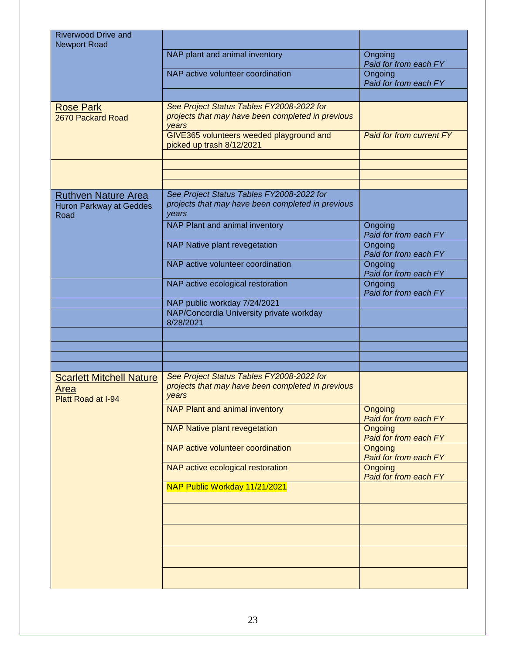| <b>Riverwood Drive and</b><br><b>Newport Road</b>                    |                                                                                                                                                     |                                  |
|----------------------------------------------------------------------|-----------------------------------------------------------------------------------------------------------------------------------------------------|----------------------------------|
|                                                                      | NAP plant and animal inventory                                                                                                                      | Ongoing<br>Paid for from each FY |
|                                                                      | NAP active volunteer coordination                                                                                                                   | Ongoing<br>Paid for from each FY |
|                                                                      |                                                                                                                                                     |                                  |
| <b>Rose Park</b><br>2670 Packard Road                                | See Project Status Tables FY2008-2022 for<br>projects that may have been completed in previous<br>years<br>GIVE365 volunteers weeded playground and | Paid for from current FY         |
|                                                                      | picked up trash 8/12/2021                                                                                                                           |                                  |
|                                                                      |                                                                                                                                                     |                                  |
|                                                                      |                                                                                                                                                     |                                  |
| <b>Ruthven Nature Area</b><br><b>Huron Parkway at Geddes</b><br>Road | See Project Status Tables FY2008-2022 for<br>projects that may have been completed in previous<br>years                                             |                                  |
|                                                                      | NAP Plant and animal inventory                                                                                                                      | Ongoing<br>Paid for from each FY |
|                                                                      | NAP Native plant revegetation                                                                                                                       | Ongoing<br>Paid for from each FY |
|                                                                      | NAP active volunteer coordination                                                                                                                   | Ongoing<br>Paid for from each FY |
|                                                                      | NAP active ecological restoration                                                                                                                   | Ongoing<br>Paid for from each FY |
|                                                                      | NAP public workday 7/24/2021                                                                                                                        |                                  |
|                                                                      | NAP/Concordia University private workday<br>8/28/2021                                                                                               |                                  |
|                                                                      |                                                                                                                                                     |                                  |
|                                                                      |                                                                                                                                                     |                                  |
|                                                                      |                                                                                                                                                     |                                  |
| <b>Scarlett Mitchell Nature</b><br><b>Area</b><br>Platt Road at I-94 | See Project Status Tables FY2008-2022 for<br>projects that may have been completed in previous<br>years                                             |                                  |
|                                                                      | <b>NAP Plant and animal inventory</b>                                                                                                               | Ongoing<br>Paid for from each FY |
|                                                                      | <b>NAP Native plant revegetation</b>                                                                                                                | Ongoing<br>Paid for from each FY |
|                                                                      | NAP active volunteer coordination                                                                                                                   | Ongoing<br>Paid for from each FY |
|                                                                      | NAP active ecological restoration                                                                                                                   | Ongoing<br>Paid for from each FY |
|                                                                      | NAP Public Workday 11/21/2021                                                                                                                       |                                  |
|                                                                      |                                                                                                                                                     |                                  |
|                                                                      |                                                                                                                                                     |                                  |
|                                                                      |                                                                                                                                                     |                                  |
|                                                                      |                                                                                                                                                     |                                  |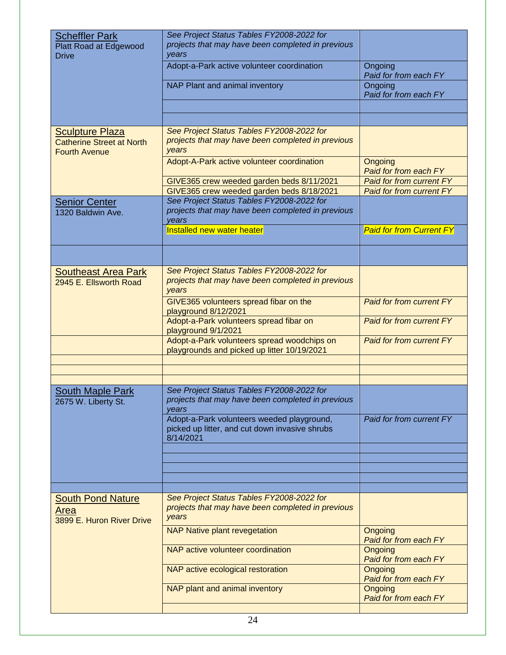| <b>Scheffler Park</b><br>Platt Road at Edgewood<br><b>Drive</b>                    | See Project Status Tables FY2008-2022 for<br>projects that may have been completed in previous<br>years   |                                  |
|------------------------------------------------------------------------------------|-----------------------------------------------------------------------------------------------------------|----------------------------------|
|                                                                                    | Adopt-a-Park active volunteer coordination                                                                | Ongoing<br>Paid for from each FY |
|                                                                                    | NAP Plant and animal inventory                                                                            | Ongoing<br>Paid for from each FY |
|                                                                                    |                                                                                                           |                                  |
|                                                                                    |                                                                                                           |                                  |
| <b>Sculpture Plaza</b><br><b>Catherine Street at North</b><br><b>Fourth Avenue</b> | See Project Status Tables FY2008-2022 for<br>projects that may have been completed in previous<br>years   |                                  |
|                                                                                    | Adopt-A-Park active volunteer coordination                                                                | Ongoing<br>Paid for from each FY |
|                                                                                    | GIVE365 crew weeded garden beds 8/11/2021                                                                 | Paid for from current FY         |
|                                                                                    | GIVE365 crew weeded garden beds 8/18/2021                                                                 | Paid for from current FY         |
| <b>Senior Center</b><br>1320 Baldwin Ave.                                          | See Project Status Tables FY2008-2022 for<br>projects that may have been completed in previous<br>vears   |                                  |
|                                                                                    | Installed new water heater                                                                                | <b>Paid for from Current FY</b>  |
|                                                                                    |                                                                                                           |                                  |
| <b>Southeast Area Park</b>                                                         | See Project Status Tables FY2008-2022 for                                                                 |                                  |
| 2945 E. Ellsworth Road                                                             | projects that may have been completed in previous<br>years                                                |                                  |
|                                                                                    | GIVE365 volunteers spread fibar on the<br>playground 8/12/2021                                            | <b>Paid for from current FY</b>  |
|                                                                                    | Adopt-a-Park volunteers spread fibar on<br>playground 9/1/2021                                            | <b>Paid for from current FY</b>  |
|                                                                                    | Adopt-a-Park volunteers spread woodchips on<br>playgrounds and picked up litter 10/19/2021                | <b>Paid for from current FY</b>  |
|                                                                                    |                                                                                                           |                                  |
|                                                                                    |                                                                                                           |                                  |
|                                                                                    | See Project Status Tables FY2008-2022 for                                                                 |                                  |
| <b>South Maple Park</b><br>2675 W. Liberty St.                                     | projects that may have been completed in previous<br>years                                                |                                  |
|                                                                                    | Adopt-a-Park volunteers weeded playground,<br>picked up litter, and cut down invasive shrubs<br>8/14/2021 | Paid for from current FY         |
|                                                                                    |                                                                                                           |                                  |
|                                                                                    |                                                                                                           |                                  |
|                                                                                    |                                                                                                           |                                  |
|                                                                                    |                                                                                                           |                                  |
| <b>South Pond Nature</b><br>Area                                                   | See Project Status Tables FY2008-2022 for<br>projects that may have been completed in previous            |                                  |
| 3899 E. Huron River Drive                                                          | years                                                                                                     |                                  |
|                                                                                    | <b>NAP Native plant revegetation</b>                                                                      | Ongoing<br>Paid for from each FY |
|                                                                                    | NAP active volunteer coordination                                                                         | Ongoing<br>Paid for from each FY |
|                                                                                    | NAP active ecological restoration                                                                         | Ongoing<br>Paid for from each FY |
|                                                                                    | NAP plant and animal inventory                                                                            | Ongoing<br>Paid for from each FY |
|                                                                                    | $\sim$                                                                                                    |                                  |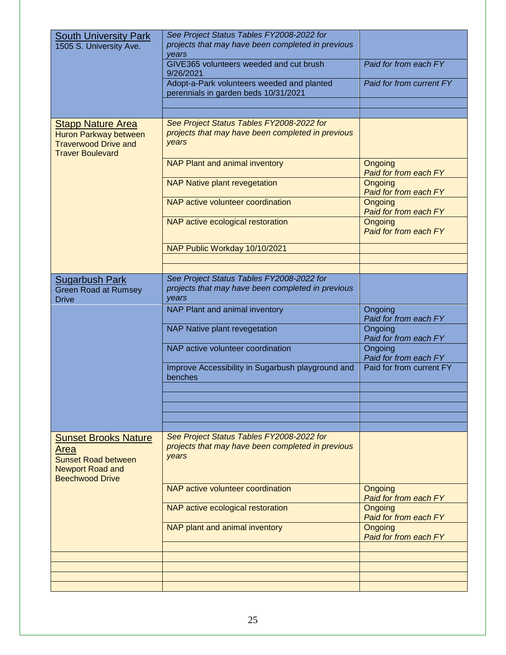| <b>South University Park</b><br>1505 S. University Ave.                                                                | See Project Status Tables FY2008-2022 for<br>projects that may have been completed in previous<br>years |                                  |
|------------------------------------------------------------------------------------------------------------------------|---------------------------------------------------------------------------------------------------------|----------------------------------|
|                                                                                                                        | GIVE365 volunteers weeded and cut brush<br>9/26/2021                                                    | Paid for from each FY            |
|                                                                                                                        | Adopt-a-Park volunteers weeded and planted<br>perennials in garden beds 10/31/2021                      | Paid for from current FY         |
|                                                                                                                        |                                                                                                         |                                  |
|                                                                                                                        |                                                                                                         |                                  |
| <b>Stapp Nature Area</b><br>Huron Parkway between<br><b>Traverwood Drive and</b><br><b>Traver Boulevard</b>            | See Project Status Tables FY2008-2022 for<br>projects that may have been completed in previous<br>years |                                  |
|                                                                                                                        | NAP Plant and animal inventory                                                                          | Ongoing<br>Paid for from each FY |
|                                                                                                                        | <b>NAP Native plant revegetation</b>                                                                    | Ongoing<br>Paid for from each FY |
|                                                                                                                        | NAP active volunteer coordination                                                                       | Ongoing<br>Paid for from each FY |
|                                                                                                                        | NAP active ecological restoration                                                                       | Ongoing<br>Paid for from each FY |
|                                                                                                                        | NAP Public Workday 10/10/2021                                                                           |                                  |
|                                                                                                                        |                                                                                                         |                                  |
|                                                                                                                        |                                                                                                         |                                  |
| <b>Sugarbush Park</b><br><b>Green Road at Rumsey</b><br><b>Drive</b>                                                   | See Project Status Tables FY2008-2022 for<br>projects that may have been completed in previous<br>years |                                  |
|                                                                                                                        | NAP Plant and animal inventory                                                                          | Ongoing<br>Paid for from each FY |
|                                                                                                                        | NAP Native plant revegetation                                                                           | Ongoing<br>Paid for from each FY |
|                                                                                                                        | NAP active volunteer coordination                                                                       | Ongoing<br>Paid for from each FY |
|                                                                                                                        | Improve Accessibility in Sugarbush playground and<br>benches                                            | Paid for from current FY         |
|                                                                                                                        |                                                                                                         |                                  |
|                                                                                                                        |                                                                                                         |                                  |
|                                                                                                                        |                                                                                                         |                                  |
|                                                                                                                        |                                                                                                         |                                  |
| <b>Sunset Brooks Nature</b><br>Area<br><b>Sunset Road between</b><br><b>Newport Road and</b><br><b>Beechwood Drive</b> | See Project Status Tables FY2008-2022 for<br>projects that may have been completed in previous<br>years |                                  |
|                                                                                                                        | NAP active volunteer coordination                                                                       | Ongoing<br>Paid for from each FY |
|                                                                                                                        | NAP active ecological restoration                                                                       | Ongoing<br>Paid for from each FY |
|                                                                                                                        | NAP plant and animal inventory                                                                          | Ongoing<br>Paid for from each FY |
|                                                                                                                        |                                                                                                         |                                  |
|                                                                                                                        |                                                                                                         |                                  |
|                                                                                                                        |                                                                                                         |                                  |
|                                                                                                                        |                                                                                                         |                                  |
|                                                                                                                        |                                                                                                         |                                  |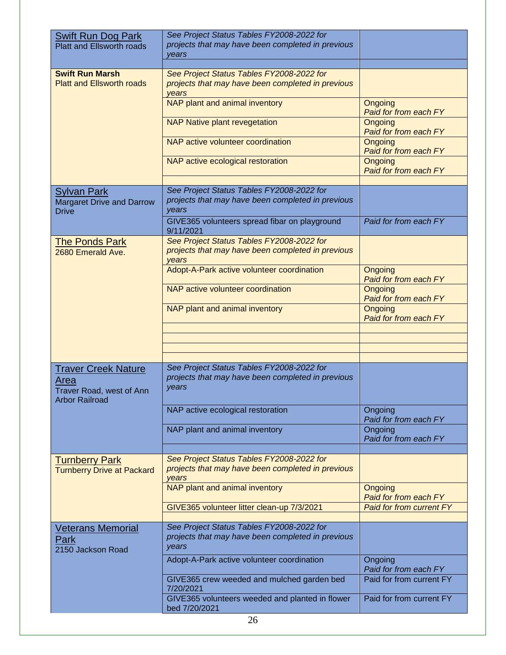|                                                               | See Project Status Tables FY2008-2022 for         |                                  |
|---------------------------------------------------------------|---------------------------------------------------|----------------------------------|
| <b>Swift Run Dog Park</b><br><b>Platt and Ellsworth roads</b> | projects that may have been completed in previous |                                  |
|                                                               | years                                             |                                  |
|                                                               |                                                   |                                  |
| <b>Swift Run Marsh</b>                                        | See Project Status Tables FY2008-2022 for         |                                  |
| <b>Platt and Ellsworth roads</b>                              | projects that may have been completed in previous |                                  |
|                                                               |                                                   |                                  |
|                                                               | years                                             |                                  |
|                                                               | NAP plant and animal inventory                    | Ongoing                          |
|                                                               |                                                   | Paid for from each FY            |
|                                                               | <b>NAP Native plant revegetation</b>              | Ongoing<br>Paid for from each FY |
|                                                               |                                                   |                                  |
|                                                               | NAP active volunteer coordination                 | Ongoing                          |
|                                                               |                                                   | Paid for from each FY            |
|                                                               | NAP active ecological restoration                 | Ongoing                          |
|                                                               |                                                   | Paid for from each FY            |
|                                                               |                                                   |                                  |
| <b>Sylvan Park</b>                                            | See Project Status Tables FY2008-2022 for         |                                  |
| <b>Margaret Drive and Darrow</b>                              | projects that may have been completed in previous |                                  |
| <b>Drive</b>                                                  | years                                             |                                  |
|                                                               | GIVE365 volunteers spread fibar on playground     | Paid for from each FY            |
|                                                               | 9/11/2021                                         |                                  |
| <b>The Ponds Park</b>                                         | See Project Status Tables FY2008-2022 for         |                                  |
| 2680 Emerald Ave.                                             | projects that may have been completed in previous |                                  |
|                                                               | years                                             |                                  |
|                                                               | Adopt-A-Park active volunteer coordination        | Ongoing                          |
|                                                               |                                                   | Paid for from each FY            |
|                                                               | NAP active volunteer coordination                 | Ongoing                          |
|                                                               |                                                   | Paid for from each FY            |
|                                                               | NAP plant and animal inventory                    | Ongoing                          |
|                                                               |                                                   | Paid for from each FY            |
|                                                               |                                                   |                                  |
|                                                               |                                                   |                                  |
|                                                               |                                                   |                                  |
|                                                               |                                                   |                                  |
| <b>Traver Creek Nature</b>                                    | See Project Status Tables FY2008-2022 for         |                                  |
|                                                               | projects that may have been completed in previous |                                  |
| Area                                                          | years                                             |                                  |
| Traver Road, west of Ann                                      |                                                   |                                  |
| <b>Arbor Railroad</b>                                         |                                                   |                                  |
|                                                               | NAP active ecological restoration                 | Ongoing                          |
|                                                               |                                                   | Paid for from each FY            |
|                                                               | NAP plant and animal inventory                    | Ongoing                          |
|                                                               |                                                   | Paid for from each FY            |
|                                                               |                                                   |                                  |
| <b>Turnberry Park</b>                                         | See Project Status Tables FY2008-2022 for         |                                  |
| <b>Turnberry Drive at Packard</b>                             | projects that may have been completed in previous |                                  |
|                                                               | years                                             |                                  |
|                                                               | NAP plant and animal inventory                    | Ongoing                          |
|                                                               |                                                   | Paid for from each FY            |
|                                                               | GIVE365 volunteer litter clean-up 7/3/2021        | <b>Paid for from current FY</b>  |
|                                                               |                                                   |                                  |
| <b>Veterans Memorial</b>                                      | See Project Status Tables FY2008-2022 for         |                                  |
| Park                                                          | projects that may have been completed in previous |                                  |
| 2150 Jackson Road                                             | years                                             |                                  |
|                                                               | Adopt-A-Park active volunteer coordination        | Ongoing                          |
|                                                               |                                                   | Paid for from each FY            |
|                                                               | GIVE365 crew weeded and mulched garden bed        | Paid for from current FY         |
|                                                               | 7/20/2021                                         |                                  |
|                                                               | GIVE365 volunteers weeded and planted in flower   | Paid for from current FY         |
|                                                               | bed 7/20/2021                                     |                                  |
|                                                               |                                                   |                                  |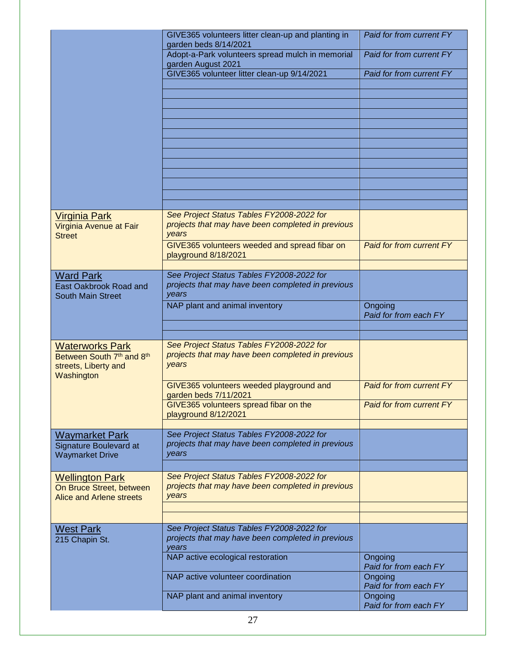| GIVE365 volunteers litter clean-up and planting in<br>garden beds 8/14/2021                             | Paid for from current FY                                                                                                                                                                                                      |
|---------------------------------------------------------------------------------------------------------|-------------------------------------------------------------------------------------------------------------------------------------------------------------------------------------------------------------------------------|
| Adopt-a-Park volunteers spread mulch in memorial                                                        | Paid for from current FY                                                                                                                                                                                                      |
| GIVE365 volunteer litter clean-up 9/14/2021                                                             | Paid for from current FY                                                                                                                                                                                                      |
|                                                                                                         |                                                                                                                                                                                                                               |
|                                                                                                         |                                                                                                                                                                                                                               |
|                                                                                                         |                                                                                                                                                                                                                               |
|                                                                                                         |                                                                                                                                                                                                                               |
|                                                                                                         |                                                                                                                                                                                                                               |
|                                                                                                         |                                                                                                                                                                                                                               |
|                                                                                                         |                                                                                                                                                                                                                               |
|                                                                                                         |                                                                                                                                                                                                                               |
| projects that may have been completed in previous<br>years                                              |                                                                                                                                                                                                                               |
| GIVE365 volunteers weeded and spread fibar on<br>playground 8/18/2021                                   | Paid for from current FY                                                                                                                                                                                                      |
| See Project Status Tables FY2008-2022 for                                                               |                                                                                                                                                                                                                               |
| projects that may have been completed in previous<br>years                                              |                                                                                                                                                                                                                               |
|                                                                                                         | Ongoing<br>Paid for from each FY                                                                                                                                                                                              |
|                                                                                                         |                                                                                                                                                                                                                               |
| See Project Status Tables FY2008-2022 for<br>projects that may have been completed in previous<br>years |                                                                                                                                                                                                                               |
| GIVE365 volunteers weeded playground and                                                                | Paid for from current FY                                                                                                                                                                                                      |
| GIVE365 volunteers spread fibar on the<br>playground 8/12/2021                                          | Paid for from current FY                                                                                                                                                                                                      |
|                                                                                                         |                                                                                                                                                                                                                               |
| projects that may have been completed in previous<br>years                                              |                                                                                                                                                                                                                               |
|                                                                                                         |                                                                                                                                                                                                                               |
| projects that may have been completed in previous<br>years                                              |                                                                                                                                                                                                                               |
|                                                                                                         |                                                                                                                                                                                                                               |
| See Project Status Tables FY2008-2022 for<br>projects that may have been completed in previous          |                                                                                                                                                                                                                               |
| NAP active ecological restoration                                                                       | Ongoing                                                                                                                                                                                                                       |
|                                                                                                         |                                                                                                                                                                                                                               |
| NAP active volunteer coordination                                                                       | Paid for from each FY<br>Ongoing<br>Paid for from each FY                                                                                                                                                                     |
|                                                                                                         | garden August 2021<br>See Project Status Tables FY2008-2022 for<br>NAP plant and animal inventory<br>garden beds 7/11/2021<br>See Project Status Tables FY2008-2022 for<br>See Project Status Tables FY2008-2022 for<br>years |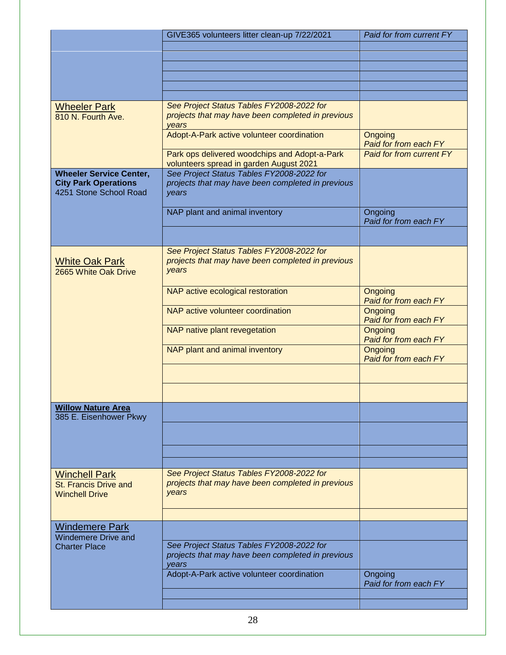|                                                                                         | GIVE365 volunteers litter clean-up 7/22/2021                                                            | Paid for from current FY                |
|-----------------------------------------------------------------------------------------|---------------------------------------------------------------------------------------------------------|-----------------------------------------|
|                                                                                         |                                                                                                         |                                         |
|                                                                                         |                                                                                                         |                                         |
|                                                                                         |                                                                                                         |                                         |
|                                                                                         |                                                                                                         |                                         |
|                                                                                         |                                                                                                         |                                         |
| <b>Wheeler Park</b><br>810 N. Fourth Ave.                                               | See Project Status Tables FY2008-2022 for<br>projects that may have been completed in previous<br>years |                                         |
|                                                                                         | Adopt-A-Park active volunteer coordination                                                              | Ongoing<br>Paid for from each FY        |
|                                                                                         | Park ops delivered woodchips and Adopt-a-Park<br>volunteers spread in garden August 2021                | <b>Paid for from current FY</b>         |
| <b>Wheeler Service Center,</b><br><b>City Park Operations</b><br>4251 Stone School Road | See Project Status Tables FY2008-2022 for<br>projects that may have been completed in previous<br>years |                                         |
|                                                                                         | NAP plant and animal inventory                                                                          | Ongoing<br>Paid for from each FY        |
|                                                                                         |                                                                                                         |                                         |
| <b>White Oak Park</b><br>2665 White Oak Drive                                           | See Project Status Tables FY2008-2022 for<br>projects that may have been completed in previous<br>years |                                         |
|                                                                                         | NAP active ecological restoration                                                                       | Ongoing<br>Paid for from each FY        |
|                                                                                         | NAP active volunteer coordination                                                                       | Ongoing<br>Paid for from each FY        |
|                                                                                         | NAP native plant revegetation                                                                           | <b>Ongoing</b><br>Paid for from each FY |
|                                                                                         | NAP plant and animal inventory                                                                          | Ongoing<br>Paid for from each FY        |
|                                                                                         |                                                                                                         |                                         |
|                                                                                         |                                                                                                         |                                         |
| <b>Willow Nature Area</b><br>385 E. Eisenhower Pkwy                                     |                                                                                                         |                                         |
|                                                                                         |                                                                                                         |                                         |
|                                                                                         |                                                                                                         |                                         |
| <b>Winchell Park</b><br>St. Francis Drive and<br><b>Winchell Drive</b>                  | See Project Status Tables FY2008-2022 for<br>projects that may have been completed in previous<br>years |                                         |
| <b>Windemere Park</b>                                                                   |                                                                                                         |                                         |
| <b>Windemere Drive and</b><br><b>Charter Place</b>                                      | See Project Status Tables FY2008-2022 for<br>projects that may have been completed in previous<br>years |                                         |
|                                                                                         | Adopt-A-Park active volunteer coordination                                                              | Ongoing<br>Paid for from each FY        |
|                                                                                         |                                                                                                         |                                         |
|                                                                                         |                                                                                                         |                                         |
|                                                                                         |                                                                                                         |                                         |